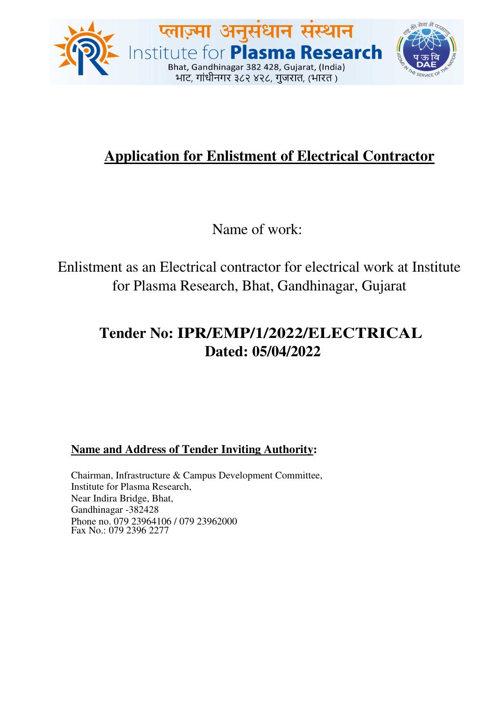

# **Application for Enlistment of Electrical Contractor**

Name of work:

Enlistment as an Electrical contractor for electrical work at Institute for Plasma Research, Bhat, Gandhinagar, Gujarat

# **Tender No: IPR/EMP/1/2022/ELECTRICAL Dated: 05/04/2022**

**Name and Address of Tender Inviting Authority:** 

Chairman, Infrastructure & Campus Development Committee, Institute for Plasma Research, Near Indira Bridge, Bhat, Gandhinagar -382428 Phone no. 079 23964106 / 079 23962000 Fax No.: 079 2396 2277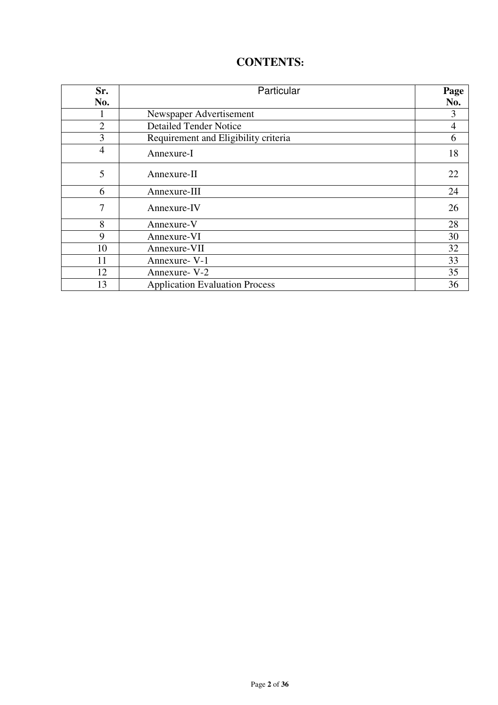# **CONTENTS:**

| Sr.            | Particular                            |                |
|----------------|---------------------------------------|----------------|
| No.            |                                       | No.            |
|                | Newspaper Advertisement               | 3              |
| $\overline{2}$ | <b>Detailed Tender Notice</b>         | $\overline{4}$ |
| 3              | Requirement and Eligibility criteria  | 6              |
| $\overline{4}$ | Annexure-I                            | 18             |
| 5              | Annexure-II                           | 22             |
| 6              | Annexure-III                          | 24             |
| 7              | Annexure-IV                           | 26             |
| 8              | Annexure-V                            | 28             |
| 9              | Annexure-VI                           | 30             |
| 10             | Annexure-VII                          | 32             |
| 11             | Annexure- V-1                         | 33             |
| 12             | Annexure- V-2                         | 35             |
| 13             | <b>Application Evaluation Process</b> | 36             |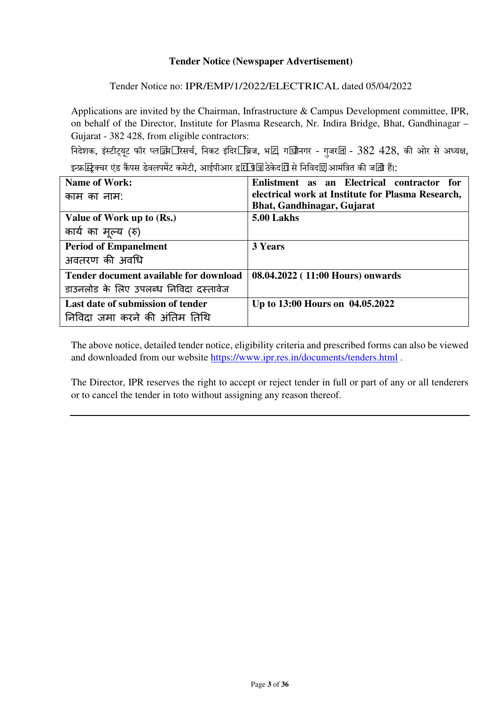### **Tender Notice (Newspaper Advertisement)**

### Tender Notice no: IPR/EMP/1/2022/ELECTRICAL dated 05/04/2022

Applications are invited by the Chairman, Infrastructure & Campus Development committee, IPR, on behalf of the Director, Institute for Plasma Research, Nr. Indira Bridge, Bhat, Gandhinagar – Gujarat - 382 428, from eligible contractors:

निदेशक, इंस्टीट्यूट फॉर प्लजि़ा जिसर्च, निकट इंदिर ब्रिज, भाट, गाधीनगर - गुजरात - 382 428, की ओर से अध्यक्ष, इन्फ्रस्ट्रिक्चर एंड कैंपस डेवलपमेंट कमेटी, आईपीआर द्वाराणि ठेकेदारों से निविदाएं आमंत्रित की जाती हैं।:

| <b>Name of Work:</b>                   | Enlistment as an Electrical contractor for        |  |  |  |  |
|----------------------------------------|---------------------------------------------------|--|--|--|--|
| काम का नाम:                            | electrical work at Institute for Plasma Research, |  |  |  |  |
|                                        | Bhat, Gandhinagar, Gujarat                        |  |  |  |  |
| Value of Work up to (Rs.)              | 5.00 Lakhs                                        |  |  |  |  |
| कार्य का मूल्य (रु)                    |                                                   |  |  |  |  |
| <b>Period of Empanelment</b>           | <b>3 Years</b>                                    |  |  |  |  |
| अवतरण की अवधि                          |                                                   |  |  |  |  |
| Tender document available for download | 08.04.2022 (11:00 Hours) onwards                  |  |  |  |  |
| डाउनलोड के लिए उपलब्ध निविदा दस्तावेज  |                                                   |  |  |  |  |
| Last date of submission of tender      | Up to 13:00 Hours on 04.05.2022                   |  |  |  |  |
| निविदा जमा करने की अंतिम तिथि          |                                                   |  |  |  |  |

The above notice, detailed tender notice, eligibility criteria and prescribed forms can also be viewed and downloaded from our website https://www.ipr.res.in/documents/tenders.html .

The Director, IPR reserves the right to accept or reject tender in full or part of any or all tenderers or to cancel the tender in toto without assigning any reason thereof.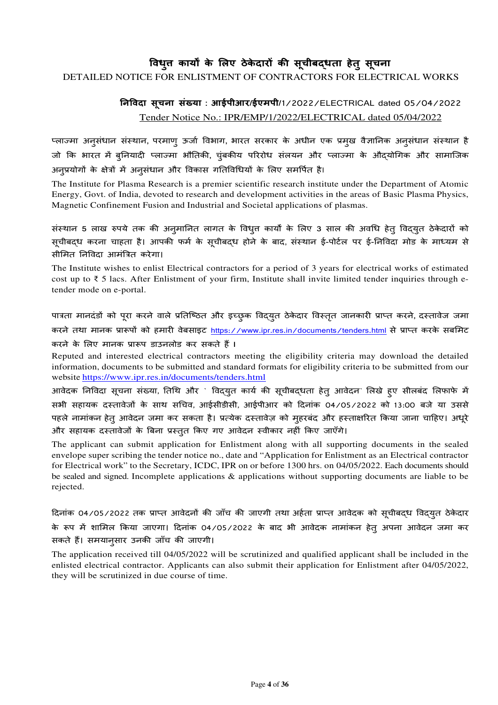# विधुत कार्यों के लिए ठेकेदारों की सूचीबद्**धता हेतु सूचना**

### DETAILED NOTICE FOR ENLISTMENT OF CONTRACTORS FOR ELECTRICAL WORKS

## **न-वदा सूचना संया : आईपीआर/ईएमपी/**1/2022/ELECTRICAL dated 05/04/2022 Tender Notice No.: IPR/EMP/1/2022/ELECTRICAL dated 05/04/2022

प्लाज्मा अनुसंधान संस्थान, परमाण् ऊर्जा विभाग, भारत सरकार के अधीन एक प्रमुख वैज्ञानिक अनुसंधान संस्थान है जो कि भारत में ब्**नियादी प्लाज्मा भौतिकी, चुंबकीय परिरोध** संलयन और प्लाज्मा के औद्**योगिक और सामाजिक** अनुप्रयोगों के क्षेत्रों में अनुसंधान और विकास गतिविधियों के लिए समर्पित है।

The Institute for Plasma Research is a premier scientific research institute under the Department of Atomic Energy, Govt. of India, devoted to research and development activities in the areas of Basic Plasma Physics, Magnetic Confinement Fusion and Industrial and Societal applications of plasmas.

संस्थान 5 लाख रुपये तक की अनुमानित लागत के विधुत कार्यों के लिए 3 साल की अवधि हेत् विद्**युत ठेकेदारों** को सूचीबद्ध करना चाहता है। आपकी फर्म के सूचीबद्ध होने के बाद, संस्थान ई-पोर्टल पर ई-निविदा मोड के माध्यम से सीमित निविदा आमंत्रित करेगा।

The Institute wishes to enlist Electrical contractors for a period of 3 years for electrical works of estimated cost up to ₹ 5 lacs. After Enlistment of your firm, Institute shall invite limited tender inquiries through etender mode on e-portal.

पात्रता मानदंडों को पूरा करने वाले प्रतिष्ठित और इच्छुक विदयुत ठेकेदार विस्तृत जानकारी प्राप्त करने, दस्तावेज जमा करने तथा मानक प्रारूपों को हमारी वेबसाइट https://www.ipr.res.in/documents/tenders.html से प्राप्त करके सबमिट करने के लिए मानक प्रारूप डाउनलोड कर सकते हैं **l** 

Reputed and interested electrical contractors meeting the eligibility criteria may download the detailed information, documents to be submitted and standard formats for eligibility criteria to be submitted from our website https://www.ipr.res.in/documents/tenders.html

आवेदक निविदा सूचना संख्या, तिथि और ` विदयृत कार्य की सूचीबदधता हेत् आवेदन` लिखे हुए सीलबंद लिफाफे में सभी सहायक दस्तावेजों के साथ सचिव, आईसीडीसी, आईपीआर को दिनांक 04/05/2022 को 13:00 बजे या उससे पहले नामांकन हेतु आवेदन जमा कर सकता है। प्रत्येक दस्तावेज़ को मुहरबंद और हस्ताक्षरित किया जाना चाहिए। अधुरे और सहायक दस्तावेजों के बिना प्रस्तुत किए गए आवेदन स्वीकार नहीं किए जाएँगे।

The applicant can submit application for Enlistment along with all supporting documents in the sealed envelope super scribing the tender notice no., date and "Application for Enlistment as an Electrical contractor for Electrical work" to the Secretary, ICDC, IPR on or before 1300 hrs. on 04/05/2022. Each documents should be sealed and signed. Incomplete applications & applications without supporting documents are liable to be rejected.

दिनांक 04/05/2022 तक प्राप्त आवेदनों की जाँच की जाएगी तथा अर्हता प्राप्त आवेदक को सूचीबदध विदयुत ठेकेदार के रूप में शामिल किया जाएगा। दिनांक 04/05/2022 के बाद भी आवेदक नामांकन हेत् अपना आवेदन जमा कर सकते हैं। समयानुसार उनकी जाँच की जाएगी।

The application received till 04/05/2022 will be scrutinized and qualified applicant shall be included in the enlisted electrical contractor. Applicants can also submit their application for Enlistment after 04/05/2022, they will be scrutinized in due course of time.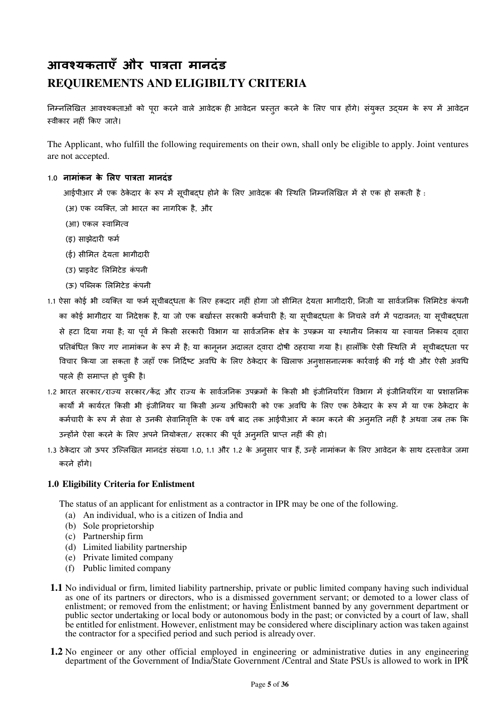# **आव\$यकताएँ और पा'ता मानदंड REQUIREMENTS AND ELIGIBILTY CRITERIA**

निम्नलिखित आवश्यकताओं को पूरा करने वाले आवेदक ही आवेदन प्रस्तुत करने के लिए पात्र होंगे। संयुक्त उदयम के रूप में आवेदन स्वीकार नहीं किए जाते।

The Applicant, who fulfill the following requirements on their own, shall only be eligible to apply. Joint ventures are not accepted.

#### **1.0 नामांकन के लए पा'ता मानदंड**

आईपीआर में एक ठेकेदार के रूप में सूचीबद्ध होने के लिए आवेदक की स्थिति निम्नलिखित में से एक हो सकती है :

- (अ) एक व्यक्ति, जो भारत का नागरिक है, और
- (आ) एकल स्वामित्व
- (इ) साझेदारी फर्म
- (ई) सीमित देयता भागीदारी
- (उ) प्राइवेट लिमिटेड कंपनी
- (ऊ) पब्लिक लिमिटेड कंपनी
- 1.1 ऐसा कोई भी व्यक्ति या फर्म सूचीबद्धता के लिए हकदार नहीं होगा जो सीमित देयता भागीदारी, निजी या सार्वजनिक लिमिटेड कंपनी का कोई भागीदार या निदेशक है, या जो एक बर्खास्त सरकारी कर्मचारी है; या सूचीबदधता के निचले वर्ग में पदावनत; या सूचीबदधता से हटा दिया गया है; या पूर्व में किसी सरकारी विभाग या सार्वजनिक क्षेत्र के उपक्रम या स्थानीय निकाय या स्वायत निकाय दवारा प्रतिबंधित किए गए नामांकन के रूप में है; या कानूनन अदालत दवारा दोषी ठहराया गया है। हालाँकि ऐसी स्थिति में सूचीबद्धता पर विचार किया जा सकता है जहाँ एक निर्दिष्ट अवधि के लिए ठेकेदार के खिलाफ अन्शासनात्मक कार्रवाई की गई थी और ऐसी अवधि पहले ही समाप्त हो चुकी है।
- 1.2 भारत सरकार/राज्य सरकार/कैंद और राज्य के सार्वजनिक उपक्रमों के किसी भी इंजीनियरिंग विभाग में इंजीनियरिंग या प्रशासनिक कार्यों में कार्यरत किसी भी इंजीनियर या किसी अन्य अधिकारी को एक अवधि के लिए एक ठेकेदार के रूप में या एक ठेकेदार के कर्मचारी के रूप में सेवा से उनकी सेवानिवृत्ति के एक वर्ष बाद तक आईपीआर में काम करने की अन्मति नहीं है अथवा जब तक कि उन्होंने ऐसा करने के लिए अपने नियोक्ता/ सरकार की पूर्व अनुमति प्राप्त नहीं की हो।
- 1.3 ठेकेदार जो ऊपर उल्लिखित मानदंड संख्या 1.0, 1.1 और 1.2 के अनुसार पात्र हैं, उन्हें नामांकन के लिए आवेदन के साथ दस्तावेज जमा करने होंगे।

#### **1.0 Eligibility Criteria for Enlistment**

The status of an applicant for enlistment as a contractor in IPR may be one of the following.

- (a) An individual, who is a citizen of India and
- (b) Sole proprietorship
- (c) Partnership firm
- (d) Limited liability partnership
- (e) Private limited company
- (f) Public limited company
- **1.1** No individual or firm, limited liability partnership, private or public limited company having such individual as one of its partners or directors, who is a dismissed government servant; or demoted to a lower class of enlistment; or removed from the enlistment; or having Enlistment banned by any government department or public sector undertaking or local body or autonomous body in the past; or convicted by a court of law, shall be entitled for enlistment. However, enlistment may be considered where disciplinary action was taken against the contractor for a specified period and such period is already over.
- **1.2** No engineer or any other official employed in engineering or administrative duties in any engineering department of the Government of India/State Government /Central and State PSUs is allowed to work in IPR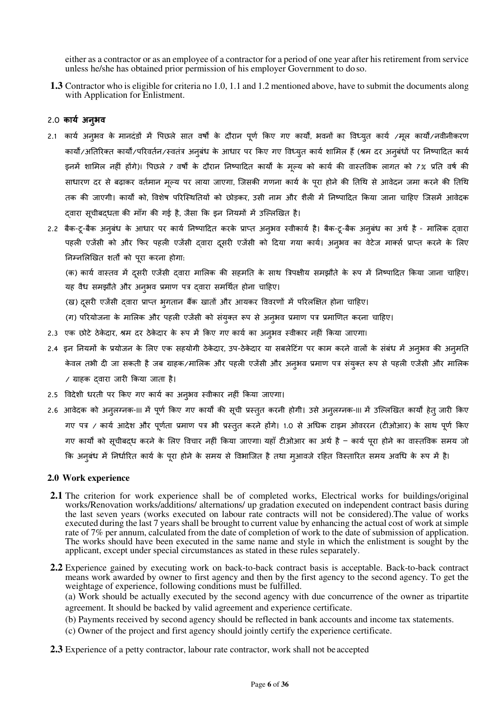either as a contractor or as an employee of a contractor for a period of one year after his retirement from service unless he/she has obtained prior permission of his employer Government to do so.

**1.3** Contractor who is eligible for criteria no 1.0, 1.1 and 1.2 mentioned above, have to submit the documents along with Application for Enlistment.

#### 2.0 **काय) अनुभव**

- 2.1 कार्य अनुभव के मानदंडों में पिछले सात वर्षों के दौरान पूर्ण किए गए कार्यों, भवनों का विध्युत कार्य /मूल कार्यो/नवीनीकरण कार्यों/अतिरिक्त कार्यों/परिवर्तन/स्वतंत्र अनुबंध के आधार पर किए गए विध्युत कार्य शामिल हैं (श्रम दर अनुबंधों पर निष्पादित कार्य इनमें शामिल नहीं होगे)। पिछले 7 वर्षों के दौरान निष्पादित कार्यों के मूल्य को काये की वास्तविक लागत को 7% प्रति वर्ष की साधारण दर से बढ़ाकर वर्तमान मूल्य पर लाया जाएगा, जिसकी गणना कार्य के पूरा होने की तिथि से आवेदन जमा करने की तिथि तक की जाएगी। कार्यों को, विशेष परिस्थितियों को छोड़कर, उसी नाम और शैली में निष्पादित किया जाना चाहिए जिसमें आवेदक द्वारा सूचीबद्धता की माँग की गई है, जैसा कि इन नियमों में उल्लिखित है।
- 2.2 बैक-टू-बैक अनुबंध के आधार पर कार्य निष्पादित करके प्राप्त अनुभव स्वीकार्य है। बैक-टू-बैक अनुबंध का अर्थ है मालिक दवारा पहली एजेंसी को और फिर पहली एजेंसी दवारा दुसरी एजेंसी को दिया गया कार्य। अनुभव का वेटेज मार्क्स प्राप्त करने के लिए निम्नलिखित शर्तों को पूरा करना होगा:

(क) कार्य वास्तव में दसरी एजेंसी दवारा मालिक की सहमति के साथ त्रिपक्षीय समझौते के रूप में निष्पादित किया जाना चाहिए। यह वैध समझौते और अनुभव प्रमाण पत्र द्वारा समर्थित होना चाहिए।

- (ख) दूसरी एजेंसी दवारा प्राप्त भूगतान बैंक खातों और आयकर विवरणों में परिलक्षित होना चाहिए।
- (ग) परियोजना के मालिक और पहली एजेंसी को संयुक्त रूप से अनुभव प्रमाण पत्र प्रमाणित करना चाहिए।
- 2.3 एक छोटे ठेकेदार, श्रम दर ठेकेदार के रूप में किए गए कार्य का अनुभव स्वीकार नहीं किया जाएगा।
- 2.4 इन नियमों के प्रयोजन के लिए एक सहयोगी ठेकेदार, उप-ठेकेदार या सबलेटिंग पर काम करने वालों के संबंध में अनभव की अनमति केवल तभी दी जा सकती है जब ग्राहक/मालिक और पहली एजेंसी और अनुभव प्रमाण पत्र संयुक्त रूप से पहली एजेंसी और मालिक / iाहक ;वारा जार6 3कया जाता है।
- 2.5 विदेशी धरती पर किए गए कार्य का अनुभव स्वीकार नहीं किया जाएगा।
- 2.6 आवेदक को अनुलग्नक-III में पूर्ण किए गए कार्यों की सूची प्रस्तुत करनी होगी। उसे अनुलग्नक-III में उल्लिखित कार्यों हेत् जारी किए गए पत्र / कार्य आदेश और पूर्णता प्रमाण पत्र भी प्रस्तुत करने होंगे। 1.0 से अधिक टाइम ओवररन (टीओआर) के साथ पूर्ण किए गए कार्यों को सूचीबदध करने के लिए विचार नहीं किया जाएगा। यहाँ टीओआर का अर्थ है – कार्य पूरा होने का वास्तविक समय जो कि अनुबंध में निर्धारित कार्य के परा होने के समय से विभाजित है तथा मुआवजे रहित विस्तारित समय अवधि के रूप में है।

#### **2.0 Work experience**

- **2.1** The criterion for work experience shall be of completed works, Electrical works for buildings/original works/Renovation works/additions/ alternations/ up gradation executed on independent contract basis during the last seven years (works executed on labour rate contracts will not be considered).The value of works executed during the last 7 years shall be brought to current value by enhancing the actual cost of work at simple rate of 7% per annum, calculated from the date of completion of work to the date of submission of application. The works should have been executed in the same name and style in which the enlistment is sought by the applicant, except under special circumstances as stated in these rules separately.
- **2.2** Experience gained by executing work on back-to-back contract basis is acceptable. Back-to-back contract means work awarded by owner to first agency and then by the first agency to the second agency. To get the weightage of experience, following conditions must be fulfilled.

(a) Work should be actually executed by the second agency with due concurrence of the owner as tripartite agreement. It should be backed by valid agreement and experience certificate.

- (b) Payments received by second agency should be reflected in bank accounts and income tax statements.
- (c) Owner of the project and first agency should jointly certify the experience certificate.
- **2.3** Experience of a petty contractor, labour rate contractor, work shall not be accepted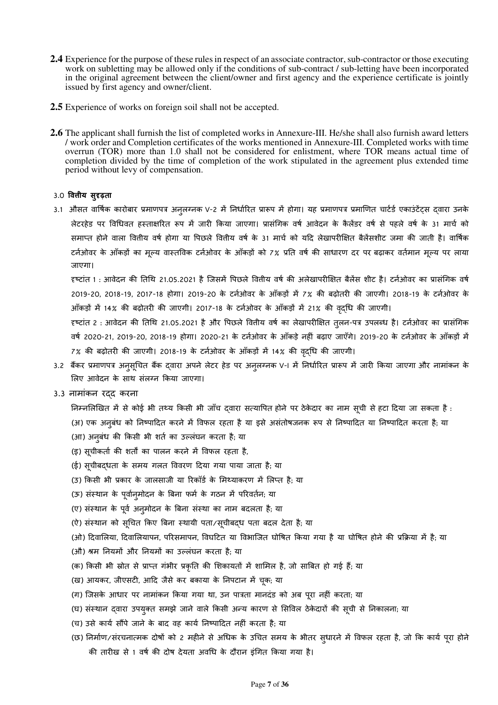- **2.4** Experience for the purpose of these rules in respect of an associate contractor, sub-contractor or those executing work on subletting may be allowed only if the conditions of sub-contract / sub-letting have been incorporated in the original agreement between the client/owner and first agency and the experience certificate is jointly issued by first agency and owner/client.
- **2.5** Experience of works on foreign soil shall not be accepted.
- **2.6** The applicant shall furnish the list of completed works in Annexure-III. He/she shall also furnish award letters / work order and Completion certificates of the works mentioned in Annexure-III. Completed works with time overrun (TOR) more than 1.0 shall not be considered for enlistment, where TOR means actual time of completion divided by the time of completion of the work stipulated in the agreement plus extended time period without levy of compensation.

#### 3.0 वित्तीय सुदृढ़ता

3.1 औसत वार्षिक कारोबार प्रमाणपत्र अनुलग्नक V-2 में निर्धारित प्रारूप में होगा। यह प्रमाणपत्र प्रमाणित चार्टर्ड एकाउंटेंटस दवारा उनके लेटरहेड पर विधिवत हस्ताक्षरित रूप में जारी किया जाएगा। प्रासंगिक वर्ष आवेदन के कैलेंडर वर्ष से पहले वर्ष के 31 मार्च को समाप्त होने वाला वित्तीय वर्ष होगा या पिछले वित्तीय वर्ष के 31 मार्च को यदि लेखापरीक्षित बैलेंसशीट जमा की जाती है। वार्षिक टनेओवर के आँकड़ो का मूल्य वास्तविक टनेओवर के आँकड़ो को 7% प्रति वर्ष की साधारण दर पर बढ़ाकर वर्तमान मूल्य पर लाया जाएगा।

हष्टांत 1 : आवेदन की तिथि 21.05.2021 है जिसमें पिछले वितीय वर्ष की अलेखापरीक्षित बैलेंस शीट है। टर्नओवर का प्रासंगिक वर्ष 2019-20, 2018-19, 2017-18 होगा। 2019-20 के टर्नओवर के आँकड़ों में 7% की बढ़ोतरी की जाएगी। 2018-19 के टर्नओवर के आँकड़ों में 14% की बढ़ोतरी की जाएगी। 2017-18 के टर्नओवर के आँकड़ों में 21% की वदधि की जाएगी।

हष्टांत 2 : आवेदन की तिथि 21.05.2021 है और पिछले वितीय वर्ष का लेखापरीक्षित तुलन-पत्र उपलब्ध है। टर्नओवर का प्रासंगिक वर्ष 2020-21, 2019-20, 2018-19 होगा। 2020-21 के टर्नओवर के आँकड़े नहीं बढ़ाए जाएँगे। 2019-20 के टर्नओवर के आँकड़ों में 7% की बढ़ोतरी की जाएगी। 2018-19 के टर्नओवर के आँकड़ों में 14% की वृदधि की जाएगी।

- 3.2 बैंकर प्रमाणपत्र अनुसूचित बैंक दवारा अपने लेटर हेड पर अनुलग्नक V-I में निर्धारित प्रारूप में जारी किया जाएगा और नामांकन के लिए आवेदन के साथ संलग्न किया जाएगा।
- 3.3 नामांकन रदद करना
	- निम्नलिखित में से कोई भी तथ्य किसी भी जाँच दवारा सत्यापित होने पर ठेकेदार का नाम सूची से हटा दिया जा सकता है :
	- (अ) एक अनुबंध को निष्पादित करने में विफल रहता है या इसे असंतोषजनक रूप से निष्पादित या निष्पादित करता है; या
	- (आ) अनुबंध की किसी भी शर्त का उल्लंघन करता है; या
	- (इ) सूचीकर्ता की शर्तों का पालन करने में विफल रहता है,
	- (ई) सूचीबदधता के समय गलत विवरण दिया गया पाया जाता है; या
	- (उ) किसी भी प्रकार के जालसाजी या रिकॉर्ड के मिथ्याकरण में लिप्त है; या
	- (ऊ) संस्थान के पूर्वानमोदन के बिना फर्म के गठन में परिवर्तन; या
	- (ए) संस्थान के पूर्व अनुमोदन के बिना संस्था का नाम बदलता है; या
	- (ऐ) संस्थान को सृचित किए बिना स्थायी पता/सृचीबद्ध पता बदल देता है; या
	- (ओ) दिवालिया, दिवालियापन, परिसमापन, विघटित या विभाजित घोषित किया गया है या घोषित होने की प्रक्रिया में है; या
	- (औ) श्रम नियमों और नियमों का उल्लंघन करता है; या
	- (क) किसी भी स्रोत से प्राप्त गंभीर प्रकृति की शिकायतों में शामिल है, जो साबित हो गई हैं; या
	- (ख) आयकर, जीएसटी, आदि जैसे कर बकाया के निपटान में चूक; या
	- (ग) जिसके आधार पर नामांकन किया गया था, उन पात्रता मानदंड को अब पूरा नहीं करता; या
	- (घ) संस्थान द्वारा उपयुक्त समझे जाने वाले किसी अन्य कारण से सिविल ठेकेदारों की सूची से निकालना; या
	- (च) उसे कार्य सौंपे जाने के बाद वह कार्य निष्पादित नहीं करता है; या
	- (छ) निर्माण/संरचनात्मक दोषों को 2 महीने से अधिक के उचित समय के भीतर सुधारने में विफल रहता है, जो कि कार्य पुरा होने की तारीख से 1 वर्ष की दोष देयता अवधि के दौरान इंगित किया गया है।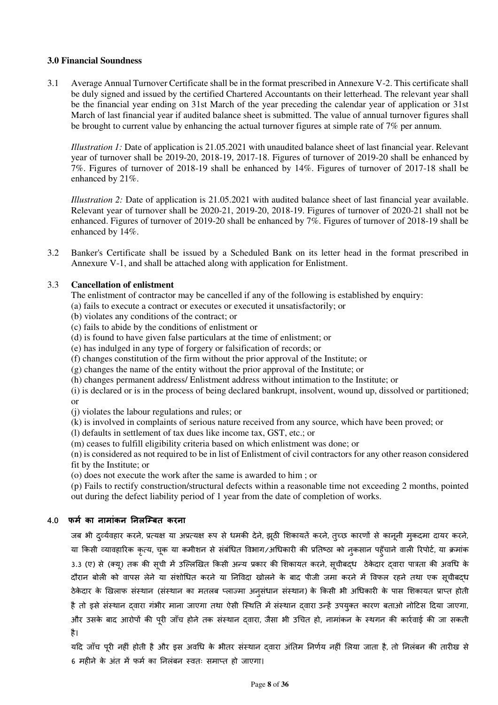#### **3.0 Financial Soundness**

3.1 Average Annual Turnover Certificate shall be in the format prescribed in Annexure V-2. This certificate shall be duly signed and issued by the certified Chartered Accountants on their letterhead. The relevant year shall be the financial year ending on 31st March of the year preceding the calendar year of application or 31st March of last financial year if audited balance sheet is submitted. The value of annual turnover figures shall be brought to current value by enhancing the actual turnover figures at simple rate of 7% per annum.

*Illustration 1:* Date of application is 21.05.2021 with unaudited balance sheet of last financial year. Relevant year of turnover shall be 2019-20, 2018-19, 2017-18. Figures of turnover of 2019-20 shall be enhanced by 7%. Figures of turnover of 2018-19 shall be enhanced by 14%. Figures of turnover of 2017-18 shall be enhanced by 21%.

*Illustration 2:* Date of application is 21.05.2021 with audited balance sheet of last financial year available. Relevant year of turnover shall be 2020-21, 2019-20, 2018-19. Figures of turnover of 2020-21 shall not be enhanced. Figures of turnover of 2019-20 shall be enhanced by 7%. Figures of turnover of 2018-19 shall be enhanced by 14%.

3.2 Banker's Certificate shall be issued by a Scheduled Bank on its letter head in the format prescribed in Annexure V-1, and shall be attached along with application for Enlistment.

### 3.3 **Cancellation of enlistment**

The enlistment of contractor may be cancelled if any of the following is established by enquiry:

- (a) fails to execute a contract or executes or executed it unsatisfactorily; or
- (b) violates any conditions of the contract; or
- (c) fails to abide by the conditions of enlistment or
- (d) is found to have given false particulars at the time of enlistment; or
- (e) has indulged in any type of forgery or falsification of records; or
- (f) changes constitution of the firm without the prior approval of the Institute; or
- (g) changes the name of the entity without the prior approval of the Institute; or
- (h) changes permanent address/ Enlistment address without intimation to the Institute; or
- (i) is declared or is in the process of being declared bankrupt, insolvent, wound up, dissolved or partitioned; or
- (j) violates the labour regulations and rules; or
- (k) is involved in complaints of serious nature received from any source, which have been proved; or
- (l) defaults in settlement of tax dues like income tax, GST, etc.; or
- (m) ceases to fulfill eligibility criteria based on which enlistment was done; or

(n) is considered as not required to be in list of Enlistment of civil contractors for any other reason considered fit by the Institute; or

(o) does not execute the work after the same is awarded to him ; or

(p) Fails to rectify construction/structural defects within a reasonable time not exceeding 2 months, pointed out during the defect liability period of 1 year from the date of completion of works.

#### **4.0 फम) का नामांकन नलि0बत करना**

जब भी दुर्व्यवहार करने, प्रत्यक्ष या अप्रत्यक्ष रूप से धमकी देने, झूठी शिकायतें करने, तृच्छ कारणों से कानूनी मुकदमा दायर करने, या किसी व्यावहारिक कृत्य, चूक या कमीशन से संबंधित विभाग/अधिकारी की प्रतिष्ठा को नुकसान पहँचाने वाली रिपोर्ट, या क्रमांक 3.3 (ए) से (क्यू) तक की सूची में उल्लिखित किसी अन्य प्रकार की शिकायत करने, सूचीबद्ध ठेकेदार द्वारा पात्रता की अवधि के दौरान बोली को वापस लेने या संशोधित करने या निविदा खोलने के बाद पीजी जमा करने में विफल रहने तथा एक सूचीबदध ठेकेदार के खिलाफ संस्थान (संस्थान का मतलब प्लाज्मा अनुसंधान संस्थान) के किसी भी अधिकारी के पास शिकायत प्राप्त होती है तो इसे संस्थान दवारा गंभीर माना जाएगा तथा ऐसी स्थिति में संस्थान दवारा उन्हें उपयुक्त कारण बताओ नोटिस दिया जाएगा, और उसके बाद आरोपों की पूरी जाँच होने तक संस्थान दवारा, जैसा भी उचित हो, नामांकन के स्थगन की कार्रवाई की जा सकती है।

यदि जाँच परी नहीं होती है और इस अवधि के भीतर संस्थान दवारा अंतिम निर्णय नहीं लिया जाता है, तो निलंबन की तारीख से 6 महीने के अंत में फर्म का निलंबन स्वतः समाप्त हो जाएगा।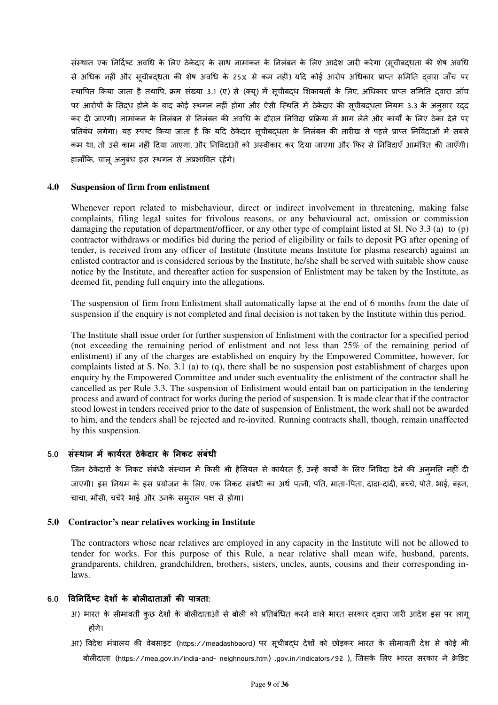संस्थान एक निर्दिष्ट अवधि के लिए ठेकेदार के साथ नामांकन के निलंबन के लिए आदेश जारी करेगा (सचीबदधता की शेष अवधि से अधिक नहीं और सुचीबदधता की शेष अवधि के 25% से कम नहीं) यदि कोई आरोप अधिकार प्राप्त समिति दवारा जाँच पर स्थापित किया जाता है तथापि, क्रम संख्या 3.1 (ए) से (क्यु) में सुचीबदध शिकायतों के लिए, अधिकार प्राप्त समिति दवारा जाँच पर आरोपों के सिदध होने के बाद कोई स्थगन नहीं होगा और ऐसी स्थिति में ठेकेदार की सूचीबदधता नियम 3.3 के अनुसार रदद कर दी जाएगी। नामांकन के निलंबन से निलंबन की अवधि के दौरान निविदा प्रक्रिया में भाग लेने और कार्यों के लिए ठेका देने पर प्रतिबंध लगेगा। यह स्पष्ट किया जाता है कि यदि ठेकेदार सूचीबदधता के निलंबन की तारीख से पहले प्राप्त निविदाओं में सबसे कम था, तो उसे काम नहीं दिया जाएगा, और निविदाओं को अस्वीकार कर दिया जाएगा और फिर से निविदाएँ आमंत्रित की जाएँगी। हालाँकि, चालू अनूबंध इस स्थगन से अप्रभावित रहेंगे।

#### **4.0 Suspension of firm from enlistment**

Whenever report related to misbehaviour, direct or indirect involvement in threatening, making false complaints, filing legal suites for frivolous reasons, or any behavioural act, omission or commission damaging the reputation of department/officer, or any other type of complaint listed at Sl. No 3.3 (a) to (p) contractor withdraws or modifies bid during the period of eligibility or fails to deposit PG after opening of tender, is received from any officer of Institute (Institute means Institute for plasma research) against an enlisted contractor and is considered serious by the Institute, he/she shall be served with suitable show cause notice by the Institute, and thereafter action for suspension of Enlistment may be taken by the Institute, as deemed fit, pending full enquiry into the allegations.

The suspension of firm from Enlistment shall automatically lapse at the end of 6 months from the date of suspension if the enquiry is not completed and final decision is not taken by the Institute within this period.

The Institute shall issue order for further suspension of Enlistment with the contractor for a specified period (not exceeding the remaining period of enlistment and not less than 25% of the remaining period of enlistment) if any of the charges are established on enquiry by the Empowered Committee, however, for complaints listed at S. No. 3.1 (a) to (q), there shall be no suspension post establishment of charges upon enquiry by the Empowered Committee and under such eventuality the enlistment of the contractor shall be cancelled as per Rule 3.3. The suspension of Enlistment would entail ban on participation in the tendering process and award of contract for works during the period of suspension. It is made clear that if the contractor stood lowest in tenders received prior to the date of suspension of Enlistment, the work shall not be awarded to him, and the tenders shall be rejected and re-invited. Running contracts shall, though, remain unaffected by this suspension.

#### **5.0 सं1थान म3 काय)रत ठेके दार के नकट संबंधी**

जिन ठेकेदारों के निकट संबंधी संस्थान में किसी भी हैसियत से कार्यरत हैं, उन्हें कार्यों के लिए निविदा देने की अनुमति नहीं दी जाएगी। इस नियम के इस प्रयोजन के लिए, एक निकट संबंधी का अर्थ पत्नी, पति, माता-पिता, दादा-दादी, बच्चे, पोते, भाई, बहन, चाचा, मौसी, चचेरे भाई और उनके ससुराल पक्ष से होगा।

#### **5.0 Contractor's near relatives working in Institute**

The contractors whose near relatives are employed in any capacity in the Institute will not be allowed to tender for works. For this purpose of this Rule, a near relative shall mean wife, husband, parents, grandparents, children, grandchildren, brothers, sisters, uncles, aunts, cousins and their corresponding inlaws.

#### 6.0 विनिदिष्ट देशों के बोलीदाताओं की पात्रता:

- अ) भारत के सीमावर्ती कछ देशों के बोलीदाताओं से बोली को प्रतिबंधित करने वाले भारत सरकार दवारा जारी आदेश इस पर लाग होंगे।
- आ) विदेश मंत्रालय की वेबसाइट (https://meadashbaord) पर सूचीबद्ध देशों को छोड़कर भारत के सीमावर्ती देश से कोई भी बोलीदाता (https://mea.gov.in/india-and- neighnours.htm) .gov.in/indicators/92 ), जिसके लिए भारत सरकार ने क्रेडिट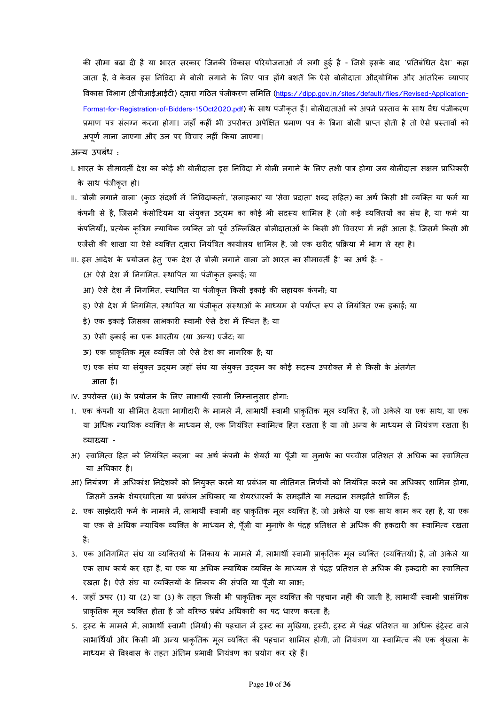की सीमा बढ़ा दी है या भारत सरकार जिनकी विकास परियोजनाओं में लगी हुई है - जिसे इसके बाद `प्रतिबंधित देश` कहा जाता है, वे केवल इस निविदा में बोली लगाने के लिए पात्र होंगे बशर्ते कि ऐसे बोलीदाता औदयोगिक और आंतरिक व्यापार विकास विभाग (डीपीआईआईटी) दवारा गठित पंजीकरण समिति (https://dipp.gov.in/sites/default/files/Revised-Application-Format-for-Registration-of-Bidders-15Oct2020.pdf) के साथ पंजीकृत हैं। बोलीदाताओं को अपने प्रस्ताव के साथ वैध पंजीकरण प्रमाण पत्र संलग्न करना होगा। जहाँ कहीं भी उपरोक्त अपेक्षित प्रमाण पत्र के बिना बोली प्राप्त होती है तो ऐसे प्रस्तावों को अपूर्ण माना जाएगा और उन पर विचार नहीं किया जाएगा।

अन्य उपबंध :

- ।. भारत के सीमावर्ती देश का कोई भी बोलीदाता इस निविदा में बोली लगाने के लिए तभी पात्र होगा जब बोलीदाता सक्षम प्राधिकारी के साथ पंजीकृत हो।
- II. `बोली लगाने वाला` (कुछ संदर्भों में 'निविदाकर्ता', 'सलाहकार' या 'सेवा प्रदाता' शब्द सहित) का अर्थ किसी भी व्यक्ति या फर्म या कंपनी से है, जिसमें कंसोर्टियम या संयुक्त उद्यम का कोई भी सदस्य शामिल है (जो कई व्यक्तियों का संघ है, या फर्म या कर्पानेयाँ), प्रत्येक कृत्रिम न्यायिक व्यक्ति जो पूर्व उल्लिखित बोलीदाताओं के किसी भी विवरण में नहीं आता है, जिसमे किसी भी एजेंसी की शाखा या ऐसे व्यक्ति दवारा नियंत्रित कार्यालय शामिल है, जो एक खरीद प्रक्रिया में भाग ले रहा है।
- III. इस आदेश के प्रयोजन हेत् `एक देश से बोली लगाने वाला जो भारत का सीमावर्ती है` का अर्थ है: -
	- (अ ऐसे देश में निगमित, स्थापित या पंजीकृत इकाई; या
	- आ) ऐसे देश में निगमित, स्थापित या पंजीकृत किसी इकाई की सहायक कंपनी; या
	- इ) ऐसे देश में निगमित, स्थापित या पंजीकृत संस्थाओं के माध्यम से पर्याप्त रूप से नियंत्रित एक इकाई; या
	- ई) एक इकाई जिसका लाभकारी स्वामी ऐसे देश में स्थित है; या
	- उ) ऐसी इकाई का एक भारतीय (या अन्य) एजेंट; या
	- ऊ) एक प्राकृतिक मूल व्यक्ति जो ऐसे देश का नागरिक है; या
	- ए) एक संघ या संयुक्त उद्यम जहाँ संघ या संयुक्त उद्यम का कोई सदस्य उपरोक्त में से किसी के अंतर्गत आता है।

IV. उपरोक्त (iii) के प्रयोजन के लिए लाभार्थी स्वामी निम्नान्**सार होगा**:

- 1. एक कंपनी या सीमित देयता भागीदारी के मामले में, लाभार्थी स्वामी प्राकृतिक मूल व्यक्ति है, जो अकेले या एक साथ, या एक या अधिक न्यायिक व्यक्ति के माध्यम से, एक नियंत्रित स्वामित्व हित रखता है या जो अन्य के माध्यम से नियंत्रण रखता है। ^याSया -
- अ) स्वामित्व हित को नियंत्रित करना` का अर्थ कंपनी के शेयरों या पूँजी या मूनाफे का पच्चीस प्रतिशत से अधिक का स्वामित्व या अधकार है।
- आ) नियंत्रण` में अधिकांश निदेशकों को नियुक्त करने या प्रबंधन या नीतिगत निर्णयों को नियंत्रित करने का अधिकार शामिल होगा, जिसमें उनके शेयरधारिता या प्रबंधन अधिकार या शेयरधारकों के समझौते या मतदान समझौते शामिल हैं;
- 2. एक साझेदारी फर्म के मामले में, लाभार्थी स्वामी वह प्राकृतिक मूल व्यक्ति है, जो अकेले या एक साथ काम कर रहा है, या एक या एक से अधिक न्यायिक व्यक्ति के माध्यम से, पूँजी या मनाफे के पंद्रह प्रतिशत से अधिक की हकदारी का स्वामित्व रखता है;
- 3. एक अनिगमित संघ या व्यक्तियों के निकाय के मामले में, लाभार्थी स्वामी प्राकृतिक मूल व्यक्ति (व्यक्तियों) है, जो अकेले या एक साथ कार्य कर रहा है, या एक या अधिक न्यायिक व्यक्ति के माध्यम से पंद्रह प्रतिशत से अधिक की हकदारी का स्वामित्व रखता है। ऐसे संघ या व्यक्तियों के निकाय की संपति या पँजी या लाभ;
- 4. जहाँ ऊपर (1) या (2) या (3) के तहत किसी भी प्राकृतिक मूल व्यक्ति की पहचान नहीं की जाती है, लाभार्थी स्वामी प्रासंगिक प्राकृतिक मूल व्यक्ति होता है जो वरिष्ठ प्रबंध अधिकारी का पद धारण करता है;
- 5. ट्रस्ट के मामले में, लाभार्थी स्वामी (मियों) की पहचान में ट्रस्ट का मुखिया, ट्रस्टी, ट्रस्ट में पंद्रह प्रतिशत या अधिक इंट्रेस्ट वाले लाभार्थियों और किसी भी अन्य प्राकृतिक मूल व्यक्ति की पहचान शामिल होगी, जो नियंत्रण या स्वामित्व की एक श्रृंखला के माध्यम से विश्वास के तहत अंतिम प्रभावी नियंत्रण का प्रयोग कर रहे हैं।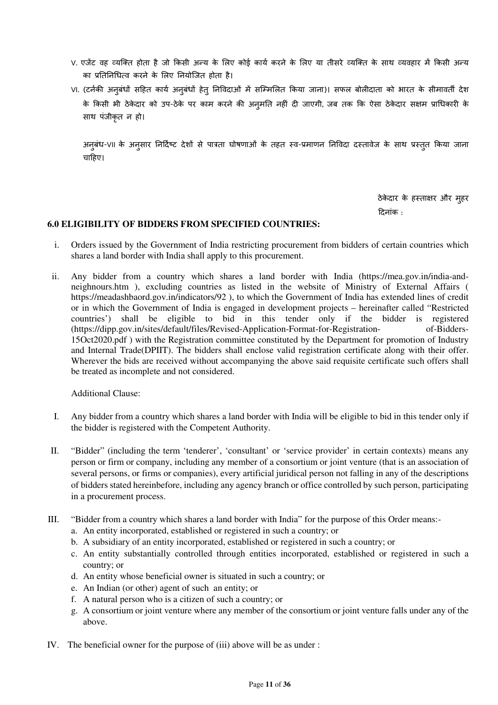- V. एजेंट वह व्यक्ति होता है जो किसी अन्य के लिए कोई कार्य करने के लिए या तीसरे व्यक्ति के साथ व्यवहार में किसी अन्य का प्रतिनिधित्व करने के लिए नियोजित होता है।
- VI. (टर्नकी अनुबंधों सहित कार्य अनुबंधों हेतु निविदाओं में सम्मिलित किया जाना)। सफल बोलीदाता को भारत के सीमावर्ती देश के किसी भी ठेकेदार को उप-ठेके पर काम करने की अनुमति नहीं दी जाएगी, जब तक कि ऐसा ठेकेदार सक्षम प्राधिकारी के साथ पंजीकृत न हो।

अनुबंध-VII के अनुसार निर्दिष्ट देशों से पात्रता घोषणाओं के तहत स्व-प्रमाणन निविदा दस्तावेज के साथ प्रस्तुत किया जाना चाहिए।

> ठेकेदार के हस्ताक्षर और मुहर Tदनांक :

#### **6.0 ELIGIBILITY OF BIDDERS FROM SPECIFIED COUNTRIES:**

- i. Orders issued by the Government of India restricting procurement from bidders of certain countries which shares a land border with India shall apply to this procurement.
- ii. Any bidder from a country which shares a land border with India (https://mea.gov.in/india-andneighnours.htm ), excluding countries as listed in the website of Ministry of External Affairs ( https://meadashbaord.gov.in/indicators/92 ), to which the Government of India has extended lines of credit or in which the Government of India is engaged in development projects – hereinafter called "Restricted countries') shall be eligible to bid in this tender only if the bidder is registered (https://dipp.gov.in/sites/default/files/Revised-Application-Format-for-Registration- of-Bidders-15Oct2020.pdf ) with the Registration committee constituted by the Department for promotion of Industry and Internal Trade(DPIIT). The bidders shall enclose valid registration certificate along with their offer. Wherever the bids are received without accompanying the above said requisite certificate such offers shall be treated as incomplete and not considered.

Additional Clause:

- I. Any bidder from a country which shares a land border with India will be eligible to bid in this tender only if the bidder is registered with the Competent Authority.
- II. "Bidder" (including the term 'tenderer', 'consultant' or 'service provider' in certain contexts) means any person or firm or company, including any member of a consortium or joint venture (that is an association of several persons, or firms or companies), every artificial juridical person not falling in any of the descriptions of bidders stated hereinbefore, including any agency branch or office controlled by such person, participating in a procurement process.
- III. "Bidder from a country which shares a land border with India" for the purpose of this Order means:
	- a. An entity incorporated, established or registered in such a country; or
	- b. A subsidiary of an entity incorporated, established or registered in such a country; or
	- c. An entity substantially controlled through entities incorporated, established or registered in such a country; or
	- d. An entity whose beneficial owner is situated in such a country; or
	- e. An Indian (or other) agent of such an entity; or
	- f. A natural person who is a citizen of such a country; or
	- g. A consortium or joint venture where any member of the consortium or joint venture falls under any of the above.
- IV. The beneficial owner for the purpose of (iii) above will be as under :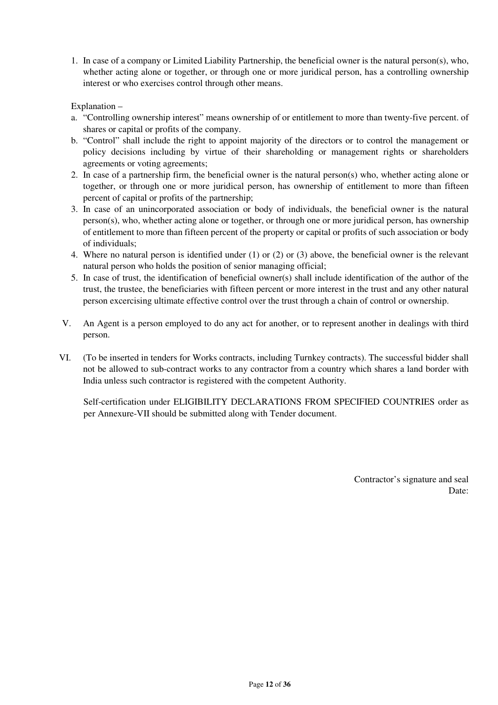1. In case of a company or Limited Liability Partnership, the beneficial owner is the natural person(s), who, whether acting alone or together, or through one or more juridical person, has a controlling ownership interest or who exercises control through other means.

### Explanation –

- a. "Controlling ownership interest" means ownership of or entitlement to more than twenty-five percent. of shares or capital or profits of the company.
- b. "Control" shall include the right to appoint majority of the directors or to control the management or policy decisions including by virtue of their shareholding or management rights or shareholders agreements or voting agreements;
- 2. In case of a partnership firm, the beneficial owner is the natural person(s) who, whether acting alone or together, or through one or more juridical person, has ownership of entitlement to more than fifteen percent of capital or profits of the partnership;
- 3. In case of an unincorporated association or body of individuals, the beneficial owner is the natural person(s), who, whether acting alone or together, or through one or more juridical person, has ownership of entitlement to more than fifteen percent of the property or capital or profits of such association or body of individuals;
- 4. Where no natural person is identified under (1) or (2) or (3) above, the beneficial owner is the relevant natural person who holds the position of senior managing official;
- 5. In case of trust, the identification of beneficial owner(s) shall include identification of the author of the trust, the trustee, the beneficiaries with fifteen percent or more interest in the trust and any other natural person excercising ultimate effective control over the trust through a chain of control or ownership.
- V. An Agent is a person employed to do any act for another, or to represent another in dealings with third person.
- VI. (To be inserted in tenders for Works contracts, including Turnkey contracts). The successful bidder shall not be allowed to sub-contract works to any contractor from a country which shares a land border with India unless such contractor is registered with the competent Authority.

Self-certification under ELIGIBILITY DECLARATIONS FROM SPECIFIED COUNTRIES order as per Annexure-VII should be submitted along with Tender document.

> Contractor's signature and seal Date: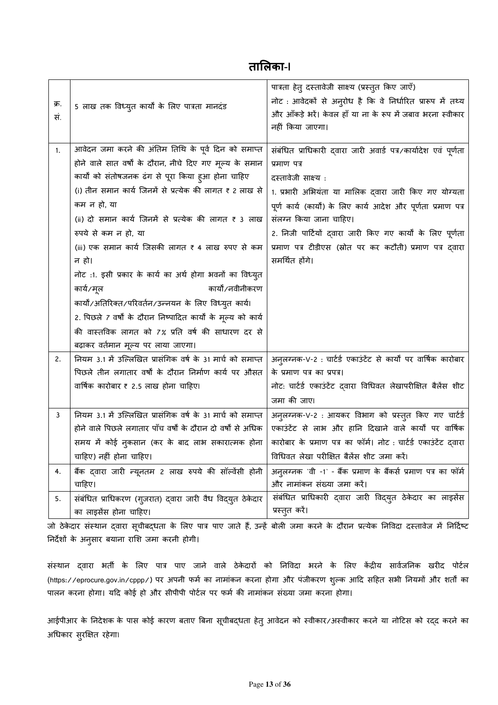# **तालका-I**

| क्र.<br>सं. | 5 लाख तक विध्युत कार्यों के लिए पात्रता मानदंड                                                                                                                                                                                                                                                                                                                                                                                                                                                                                                                                                                                                                                                                        | पात्रता हेत् दस्तावेजी साक्ष्य (प्रस्तुत किए जाएँ)<br>नोट : आवेदकों से अनुरोध है कि वे निर्धारित प्रारूप में तथ्य<br>और आँकड़े भरें। केवल हाँ या ना के रूप में जबाव भरना स्वीकार<br>नहीं किया जाएगा।                                                                                                                                                                                                      |
|-------------|-----------------------------------------------------------------------------------------------------------------------------------------------------------------------------------------------------------------------------------------------------------------------------------------------------------------------------------------------------------------------------------------------------------------------------------------------------------------------------------------------------------------------------------------------------------------------------------------------------------------------------------------------------------------------------------------------------------------------|-----------------------------------------------------------------------------------------------------------------------------------------------------------------------------------------------------------------------------------------------------------------------------------------------------------------------------------------------------------------------------------------------------------|
| 1.          | आवेदन जमा करने की अंतिम तिथि के पूर्व दिन को समाप्त<br>होने वाले सात वर्षों के दौरान, नीचे दिए गए मूल्य के समान<br>कार्यों को संतोषजनक ढंग से पूरा किया ह्आ होना चाहिए<br>(i) तीन समान कार्य जिनमें से प्रत्येक की लागत ₹ 2 लाख से<br>कम न हो, या<br>(ii) दो समान कार्य जिनमें से प्रत्येक की लागत ₹ 3 लाख<br>रुपये से कम न हो, या<br>(iii) एक समान कार्य जिसकी लागत ₹ 4 लाख रुपए से कम<br>न हो।<br>नोट :1. इसी प्रकार के कार्य का अर्थ होगा भवनों का विध्युत<br>कार्यों/नवीनीकरण<br>कार्य/मूल<br>कार्यो/अतिरिक्त/परिवर्तन/उन्नयन के लिए विध्युत कार्य।<br>2. पिछले 7 वर्षों के दौरान निष्पादित कार्यों के मूल्य को कार्य<br>की वास्तविक लागत को 7% प्रति वर्ष की साधारण दर से<br>बढ़ाकर वर्तमान मूल्य पर लाया जाएगा। | संबंधित प्राधिकारी दवारा जारी अवार्ड पत्र/कार्यादेश एवं पूर्णता<br>प्रमाण पत्र<br>दस्तावेजी साक्ष्य:<br>1. प्रभारी अभियंता या मालिक द्वारा जारी किए गए योग्यता<br>पूर्ण कार्य (कार्यों) के लिए कार्य आदेश और पूर्णता प्रमाण पत्र<br>संलग्न किया जाना चाहिए।<br>2. निजी पार्टियों द्वारा जारी किए गए कार्यों के लिए पूर्णता<br>प्रमाण पत्र टीडीएस (स्रोत पर कर कटौती) प्रमाण पत्र द्वारा<br>समर्थित होंगे। |
| 2.          | नियम 3.1 में उल्लिखित प्रासंगिक वर्ष के 31 मार्च को समाप्त<br>पिछले तीन लगातार वर्षों के दौरान निर्माण कार्य पर औसत<br>वार्षिक कारोबार ₹ 2.5 लाख होना चाहिए।                                                                                                                                                                                                                                                                                                                                                                                                                                                                                                                                                          | अन् <b>लग्नक-V-2 : चार्टर्ड एकाउंटेंट से कार्यों</b> पर वार्षिक कारोबार<br>के प्रमाण पत्र का प्रपत्र।<br>नोट: चार्टर्ड एकाउंटेंट द्वारा विधिवत लेखापरीक्षित बैलेंस शीट<br>जमा की जाए।                                                                                                                                                                                                                     |
| 3<br>4.     | नियम 3.1 में उल्लिखित प्रासंगिक वर्ष के 31 मार्च को समाप्त<br>होने वाले पिछले लगातार पाँच वर्षों के दौरान दो वर्षों से अधिक<br>समय में कोई नुकसान (कर के बाद लाभ सकारात्मक होना<br>चाहिए) नहीं होना चाहिए।<br>बैंक दवारा जारी न्यूनतम 2 लाख रुपये की सॉल्वेंसी होनी<br>चाहिए।                                                                                                                                                                                                                                                                                                                                                                                                                                         | अनुलग्नक-V-2: आयकर विभाग को प्रस्तुत किए गए चार्टर्ड<br>एकाउंटेंट से लाभ और हानि दिखाने वाले कार्यों पर वार्षिक<br>कारोबार के प्रमाण पत्र का फॉर्म। नोट: चार्टर्ड एकाउंटेंट द्वारा<br>विधिवत लेखा परीक्षित बैलेंस शीट जमा करें।<br>अनुलग्ननक `वी -1` - बैंक प्रमाण के बैंकर्स प्रमाण पत्र का फॉर्म<br>और नामांकन संख्या जमा करें।                                                                         |
| 5.          | संबंधित प्राधिकरण (गुजरात) द्वारा जारी वैध विद्युत ठेकेदार<br>का लाइसेंस होना चाहिए।                                                                                                                                                                                                                                                                                                                                                                                                                                                                                                                                                                                                                                  | संबंधित प्राधिकारी द्वारा जारी विद्युत ठेकेदार का लाइसेंस<br>प्रस्तुत करें।                                                                                                                                                                                                                                                                                                                               |

जो ठेकेदार संस्थान द्वारा सूचीबद्धता के लिए पात्र पाए जाते हैं, उन्हें बोली जमा करने के दौरान प्रत्येक निविदा दस्तावेज में निर्दिष्ट निर्देशों के अनुसार बयाना राशि जमा करनी होगी।

संस्थान द्वारा भर्ती के लिए पात्र पाए जाने वाले ठेकेदारों को निविदा भरने के लिए केंद्रीय सार्वजनिक खरीद पोर्टल (https://eprocure.gov.in/cppp/) पर अपनी फर्म का नामांकन करना होगा और पंजीकरण शुल्क आदि सहित सभी नियमों और शर्तों का पालन करना होगा। यदि कोई हो और सीपीपी पोर्टल पर फर्म की नामांकन संख्या जमा करना होगा।

आईपीआर के निदेशक के पास कोई कारण बताए बिना सूचीबद्धता हेतु आवेदन को स्वीकार/अस्वीकार करने या नोटिस को रद्द करने का अधिकार सुरक्षित रहेगा।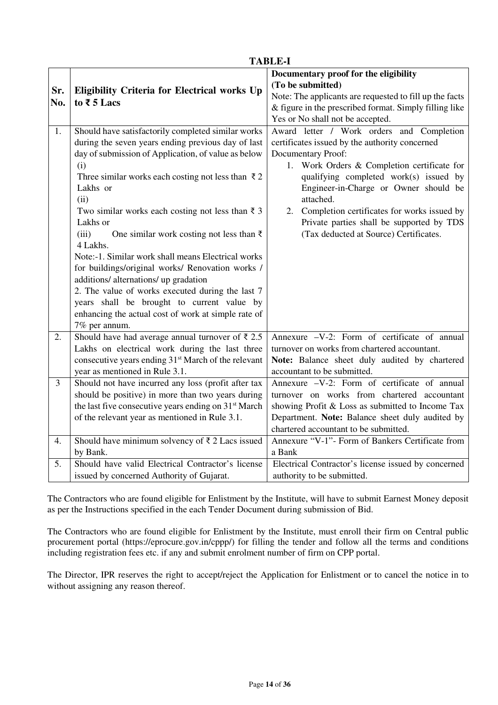|     | <b>TABLE-I</b>                                                   |                                                         |  |  |  |  |  |
|-----|------------------------------------------------------------------|---------------------------------------------------------|--|--|--|--|--|
|     |                                                                  | Documentary proof for the eligibility                   |  |  |  |  |  |
|     |                                                                  | (To be submitted)                                       |  |  |  |  |  |
| Sr. | <b>Eligibility Criteria for Electrical works Up</b>              | Note: The applicants are requested to fill up the facts |  |  |  |  |  |
| No. | to $\bar{x}$ 5 Lacs                                              | & figure in the prescribed format. Simply filling like  |  |  |  |  |  |
|     |                                                                  | Yes or No shall not be accepted.                        |  |  |  |  |  |
| 1.  | Should have satisfactorily completed similar works               | Award letter / Work orders and Completion               |  |  |  |  |  |
|     | during the seven years ending previous day of last               | certificates issued by the authority concerned          |  |  |  |  |  |
|     | day of submission of Application, of value as below              | Documentary Proof:                                      |  |  |  |  |  |
|     | (i)                                                              | 1. Work Orders & Completion certificate for             |  |  |  |  |  |
|     | Three similar works each costing not less than $\bar{\tau}$ 2    | qualifying completed work(s) issued by                  |  |  |  |  |  |
|     | Lakhs or                                                         | Engineer-in-Charge or Owner should be                   |  |  |  |  |  |
|     | (ii)                                                             | attached.                                               |  |  |  |  |  |
|     | Two similar works each costing not less than $\bar{z}$ 3         | 2. Completion certificates for works issued by          |  |  |  |  |  |
|     | Lakhs or                                                         | Private parties shall be supported by TDS               |  |  |  |  |  |
|     | (iii)<br>One similar work costing not less than $\bar{\tau}$     | (Tax deducted at Source) Certificates.                  |  |  |  |  |  |
|     | 4 Lakhs.                                                         |                                                         |  |  |  |  |  |
|     | Note:-1. Similar work shall means Electrical works               |                                                         |  |  |  |  |  |
|     | for buildings/original works/ Renovation works /                 |                                                         |  |  |  |  |  |
|     | additions/ alternations/ up gradation                            |                                                         |  |  |  |  |  |
|     | 2. The value of works executed during the last 7                 |                                                         |  |  |  |  |  |
|     | years shall be brought to current value by                       |                                                         |  |  |  |  |  |
|     | enhancing the actual cost of work at simple rate of              |                                                         |  |  |  |  |  |
|     | 7% per annum.                                                    |                                                         |  |  |  |  |  |
| 2.  | Should have had average annual turnover of $\bar{\tau}$ 2.5      | Annexure -V-2: Form of certificate of annual            |  |  |  |  |  |
|     | Lakhs on electrical work during the last three                   | turnover on works from chartered accountant.            |  |  |  |  |  |
|     | consecutive years ending 31 <sup>st</sup> March of the relevant  | Note: Balance sheet duly audited by chartered           |  |  |  |  |  |
|     | year as mentioned in Rule 3.1.                                   | accountant to be submitted.                             |  |  |  |  |  |
| 3   | Should not have incurred any loss (profit after tax              | Annexure -V-2: Form of certificate of annual            |  |  |  |  |  |
|     | should be positive) in more than two years during                | turnover on works from chartered accountant             |  |  |  |  |  |
|     | the last five consecutive years ending on 31 <sup>st</sup> March | showing Profit & Loss as submitted to Income Tax        |  |  |  |  |  |
|     | of the relevant year as mentioned in Rule 3.1.                   | Department. Note: Balance sheet duly audited by         |  |  |  |  |  |
|     |                                                                  | chartered accountant to be submitted.                   |  |  |  |  |  |
| 4.  | Should have minimum solvency of $\bar{\tau}$ 2 Lacs issued       | Annexure "V-1"- Form of Bankers Certificate from        |  |  |  |  |  |
|     | by Bank.                                                         | a Bank                                                  |  |  |  |  |  |
| 5.  | Should have valid Electrical Contractor's license                | Electrical Contractor's license issued by concerned     |  |  |  |  |  |
|     | issued by concerned Authority of Gujarat.                        | authority to be submitted.                              |  |  |  |  |  |

The Contractors who are found eligible for Enlistment by the Institute, will have to submit Earnest Money deposit as per the Instructions specified in the each Tender Document during submission of Bid.

The Contractors who are found eligible for Enlistment by the Institute, must enroll their firm on Central public procurement portal (https://eprocure.gov.in/cppp/) for filling the tender and follow all the terms and conditions including registration fees etc. if any and submit enrolment number of firm on CPP portal.

The Director, IPR reserves the right to accept/reject the Application for Enlistment or to cancel the notice in to without assigning any reason thereof.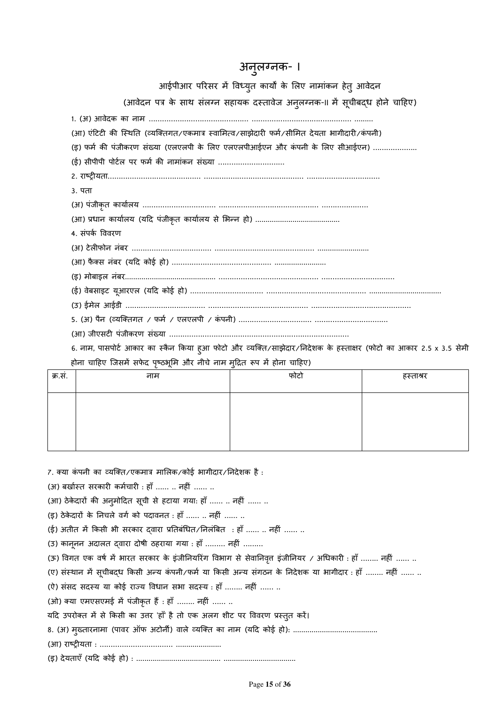# अनुलग्नक- ।

आईपीआर परिसर में विध्युत कार्यों के लिए नामांकन हेतु आवेदन

(आवेदन पत्र के साथ संलग्न सहायक दस्तावेज अनुलग्ननक-II में सूचीबद्ध होने चाहिए)

1. (अ) आवेदक का नाम ……………………………………… ……………………………………… .........

(आ) एंटिटी की स्थिति (व्यक्तिगत/एकमात्र स्वामित्व/साझेदारी फर्म/सीमित देयता भागीदारी/कंपनी)

(इ) फर्म की पंजीकरण संख्या (एलएलपी के लिए एलएलपीआईएन और कंपनी के लिए सीआईएन) …………………

 $($ ई) सीपीपी पोर्टल पर फर्म की नामांकन संख्या ……………………………

2. राLw6यता…………………………………… ……………………………………… ……………………………

3. पता

(अ) पंजीकृत कायालय …………………………… ……………………………………… …………………

(आ) .धान कायालय (यTद पंजीकृत कायालय से भdन हो) .........................................

4. संपक ववरण

(अ) टेल6फोन नंबर ……………………………… ……………………………………… .........................

(आ) फैक्स नंबर (यदि कोई हो) ………………………………………………………………………

(इ) मोबाइल नंबर............................................ ……………………………………… ……………………………

(ई) वेबसाइट यूआरएल (यTद कोई हो) …………………………… ……………………………………… ...................................

(उ) ईमेल आईडी ……………………………… ……………………………………… ………………………………………

5. (अ) पैन (व्यक्तिगत / फर्म / एलएलपी / कंपनी) ………………………………………………………………………………………

(आ) जीएसट6 पंजीकरण संSया ………………………………………………………………………

6. नाम, पासपोर्ट आकार का स्कैन किया हुआ फोटो और व्यक्ति/साझेदार/निदेशक के हस्ताक्षर (फोटो का आकार 2.5 x 3.5 सेमी होना चाहिए जिसमें सफेद पृष्ठभूमि और नीचे नाम मुद्रित रूप में होना चाहिए)

| क्र.सं. | नाम | फोटो | हस्ताश्रर |
|---------|-----|------|-----------|
|         |     |      |           |
|         |     |      |           |
|         |     |      |           |
|         |     |      |           |

7. क्या कंपनी का व्यक्ति/एकमात्र मालिक/कोई भागीदार/निदेशक है :

 $(3)$  बर्खास्त सरकारी कर्मचारी : हाँ …… .. नहीं …… ..

(आ) ठेकेदारों की अनुमोदित सूची से हटाया गया: हाँ …… .. नहीं …… ..

(इ) ठेकेदारों के निचले वर्ग को पदावनत : हाँ …… .. नहीं …… ..

 $(5)$  अतीत में किसी भी सरकार दवारा प्रतिबंधित/निलंबित : हाँ …… .. नहीं …… ..

(उ) कानूनन अदालत दवारा दोषी ठहराया गया : हाँ ……… नहीं ………

(ऊ) विगत एक वर्ष में भारत सरकार के इंजीनियरिंग विभाग से सेवानिवृत्त इंजीनियर / अधिकारी : हाँ …….. नहीं …… ..

(ए) संस्थान में सूचीबद्ध किसी अन्य कंपनी/फर्म या किसी अन्य संगठन के निदेशक या भागीदार : हाँ …….. नहीं …… ..

(ऐ) संसद सदस्य या कोई राज्य विधान सभा सदस्य : हाँ …….. नहीं …… ..

(ओ) क्या एमएसएमई में पंजीकृत हैं : हाँ …….. नहीं …… ..

यदि उपरोक्त में से किसी का उत्तर 'हाँ' है तो एक अलग शीट पर विवरण प्रस्तुत करें।

8. (अ) मुSतारनामा (पावर ऑफ अटोनt) वाले ^यि]त का नाम (यTद कोई हो): .........................................

(आ) राष्ट्रीयता : …………………………… .....................

(इ) देयताएँ (यTद कोई हो) : ......................................... ...................................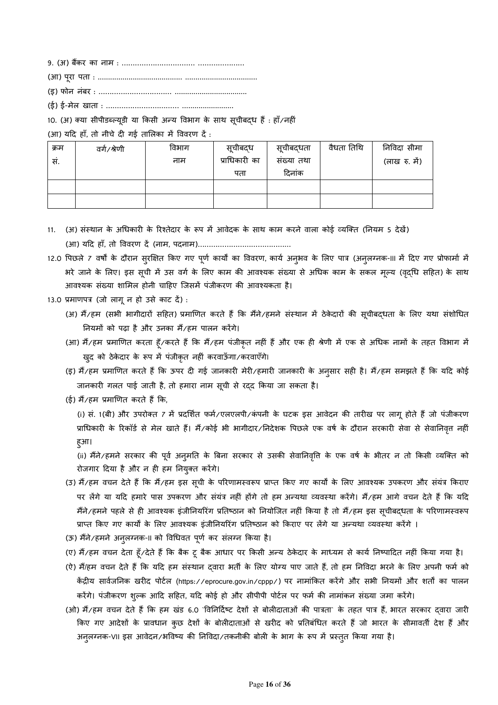9. (अ) बैंकर का नाम : ………………………………………………………

- (आ) पूरा पता : ......................................... ...................................
- (इ) फोन नंबर : …………………………… ...................................

(ई) ई-मेल खाता : …………………………… .........................

#### 10. (अ) क्या सीपीडब्ल्यूडी या किसी अन्य विभाग के साथ सूचीबद्ध हैं : हाँ/नहीं

 $(M)$  यदि हाँ, तो नीचे दी गई तालिका में विवरण दें :

| क्रम | वर्ग/श्रेणी | विभाग | सूचीबदध       | सूचीबदधता  | वैधता तिथि | निविदा सीमा   |
|------|-------------|-------|---------------|------------|------------|---------------|
| सं.  |             | नाम   | प्राधिकारी का | संख्या तथा |            | (लाख रु. में) |
|      |             |       | पता           | दिनांक     |            |               |
|      |             |       |               |            |            |               |
|      |             |       |               |            |            |               |

- 11. (अ) संस्थान के अधिकारी के रिश्तेदार के रूप में आवेदक के साथ काम करने वाला कोई व्यक्ति (नियम 5 देखें) (आ) यTद हाँ, तो ववरण द4 (नाम, पदनाम)……………………………………
- 12.0 पिछले 7 वर्षों के दौरान सुरक्षित किए गए पूर्ण कार्यों का विवरण, कार्य अनुभव के लिए पात्र (अनुलग्नक-III में दिए गए प्रोफार्मा में भरे जाने के लिए। इस सूची में उस वगे के लिए काम की आवश्यक संख्या से अधिक काम के सकल मूल्य (वृद्धि सहित) के साथ आवश्यक संख्या शामिल होनी चाहिए जिसमें पंजीकरण की आवश्यकता है।

13.0 प्रमाणपत्र (जो लागू न हो उसे काट दें) :

- (अ) मैं/हम (सभी भागीदारों सहित) प्रमाणित करते हैं कि मैंने/हमने संस्थान में ठेकेदारों की सूचीबद्धता के लिए यथा संशोधित नियमों को पढ़ा है और उनका मैं/हम पालन करेंगे।
- (आ) मैं/हम प्रमाणित करता हूँ/करते हैं कि मैं/हम पंजीकृत नहीं हैं और एक ही श्रेणी में एक से अधिक नामों के तहत विभाग में खुद को ठेकेदार के रूप में पंजीकृत नहीं करवाऊँगा/करवाएँगे।
- (इ) मैं/हम प्रमाणित करते हैं कि ऊपर दी गई जानकारी मेरी/हमारी जानकारी के अनुसार सही है। मैं/हम समझते हैं कि यदि कोई जानकारी गलत पाई जाती है, तो हमारा नाम सूची से रद्द किया जा सकता है।
- $($ ई) मैं $\sqrt{6}$ म प्रमाणित करते हैं कि.

(i) सं. 1(बी) और उपरोक्त 7 में प्रदर्शित फर्म/एलएलपी/कंपनी के घटक इस आवेदन की तारीख पर लागू होते हैं जो पंजीकरण प्राधिकारी के रिकॉर्ड से मेल खाते हैं। मैं/कोई भी भागीदार/निदेशक पिछले एक वर्ष के दौरान सरकारी सेवा से सेवानिवृत्त नहीं हुआ।

(ii) मैंने/हमने सरकार की पूर्व अन्**मति के बिना सरकार से उसकी सेवानिवृति के** एक वर्ष के भीतर न तो किसी व्यक्ति को रोजगार दिया है और न ही हम नियुक्त करेंगे।

- (उ) मैं/हम वचन देते हैं कि मैं/हम इस सूची के परिणामस्वरूप प्राप्त किए गए कार्यों के लिए आवश्यक उपकरण और संयंत्र किराए पर लेंगे या यदि हमारे पास उपकरण और संयंत्र नहीं होंगे तो हम अन्यथा व्यवस्था करेंगे। मैं/हम आगे वचन देते हैं कि यदि मैंने/हमने पहले से ही आवश्यक इंजीनियरिंग प्रतिष्ठान को नियोजित नहीं किया है तो मैं/हम इस सूचीबदधता के परिणामस्वरूप प्राप्त किए गए कार्यों के लिए आवश्यक इंजीनियरिंग प्रतिष्ठान को किराए पर लेंगे या अन्यथा व्यवस्था करेंगे ।
- (ऊ) मैंने/हमने अनुलग्नक-II को विधिवत पूर्ण कर संलग्न किया है।
- (ए) मैं/हम वचन देता हूँ/देते हैं कि बैक टू बैक आधार पर किसी अन्य ठेकेदार के माध्यम से कार्य निष्पादित नहीं किया गया है।
- (ऐ) मैं/हम वचन देते हैं कि यदि हम संस्थान दवारा भर्ती के लिए योग्य पाए जाते हैं, तो हम निविदा भरने के लिए अपनी फर्म को केंद्रीय सार्वजनिक खरीद पोर्टल (https://eprocure.gov.in/cppp/) पर नामांकित करेंगे और सभी नियमों और शर्तों का पालन करेंगे। पंजीकरण शुल्क आदि सहित, यदि कोई हो और सीपीपी पोटेल पर फर्म की नामांकन संख्या जमा करेंगे।
- (ओ) मैं/हम वचन देते हैं कि हम खंड 6.0 `विनिर्दिष्ट देशों से बोलीदाताओं की पात्रता` के तहत पात्र हैं, भारत सरकार दवारा जारी किए गए आदेशों के प्रावधान कुछ देशों के बोलीदाताओं से खरीद को प्रतिबंधित करते हैं जो भारत के सीमावती देश हैं और अनुलग्नक-VII इस आवेदन/भविष्य की निविदा/तकनीकी बोली के भाग के रूप में प्रस्तुत किया गया है।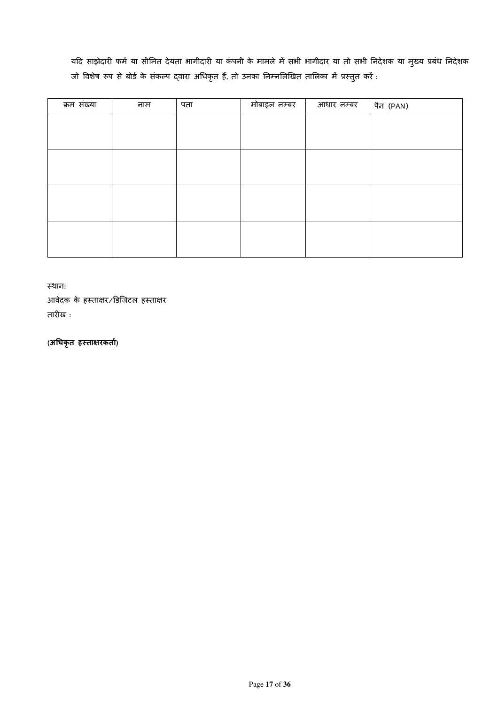यदि साझेदारी फर्म या सीमित देयता भागीदारी या कंपनी के मामले में सभी भागीदार या तो सभी निदेशक या मुख्य प्रबंध निदेशक जो विशेष रूप से बोर्ड के संकल्प द्वारा अधिकृत हैं, तो उनका निम्नलिखित तालिका में प्रस्तुत करें :

| क्रम संख्या | नाम | पता | मोबाइल नम्बर | आधार नम्बर | पैन (PAN) |
|-------------|-----|-----|--------------|------------|-----------|
|             |     |     |              |            |           |
|             |     |     |              |            |           |
|             |     |     |              |            |           |
|             |     |     |              |            |           |
|             |     |     |              |            |           |
|             |     |     |              |            |           |
|             |     |     |              |            |           |
|             |     |     |              |            |           |
|             |     |     |              |            |           |
|             |     |     |              |            |           |

"थान:

आवेदक के हस्ताक्षर/डिजिटल हस्ताक्षर तारीख :

**(अ;धकृत ह1ता=रकता))**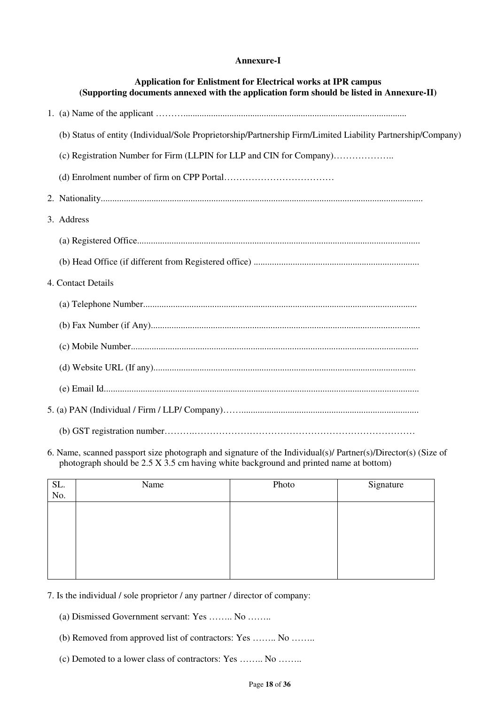### **Annexure-I**

| <b>Application for Enlistment for Electrical works at IPR campus</b><br>(Supporting documents annexed with the application form should be listed in Annexure-II) |
|------------------------------------------------------------------------------------------------------------------------------------------------------------------|
|                                                                                                                                                                  |
| (b) Status of entity (Individual/Sole Proprietorship/Partnership Firm/Limited Liability Partnership/Company)                                                     |
|                                                                                                                                                                  |
|                                                                                                                                                                  |
|                                                                                                                                                                  |
| 3. Address                                                                                                                                                       |
|                                                                                                                                                                  |
|                                                                                                                                                                  |
| 4. Contact Details                                                                                                                                               |
|                                                                                                                                                                  |
|                                                                                                                                                                  |
|                                                                                                                                                                  |
|                                                                                                                                                                  |
|                                                                                                                                                                  |
|                                                                                                                                                                  |
|                                                                                                                                                                  |

6. Name, scanned passport size photograph and signature of the Individual(s)/ Partner(s)/Director(s) (Size of photograph should be 2.5 X 3.5 cm having white background and printed name at bottom)

- 7. Is the individual / sole proprietor / any partner / director of company:
	- (a) Dismissed Government servant: Yes …….. No ……..
	- (b) Removed from approved list of contractors: Yes …….. No ……..
	- (c) Demoted to a lower class of contractors: Yes …….. No ……..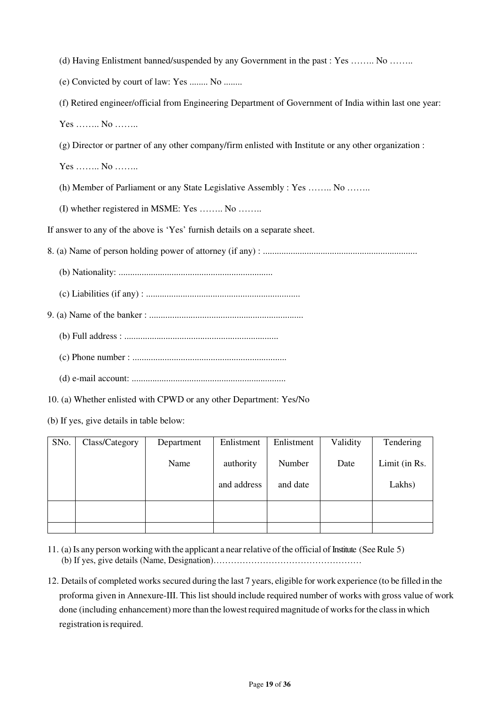- (d) Having Enlistment banned/suspended by any Government in the past : Yes …….. No ……..
- (e) Convicted by court of law: Yes ........ No ........
- (f) Retired engineer/official from Engineering Department of Government of India within last one year: Yes …….. No ……..
- (g) Director or partner of any other company/firm enlisted with Institute or any other organization :
- Yes …….. No ……..
- (h) Member of Parliament or any State Legislative Assembly : Yes …….. No ……..
- (I) whether registered in MSME: Yes …….. No ……..

If answer to any of the above is 'Yes' furnish details on a separate sheet.

8. (a) Name of person holding power of attorney (if any) : ...................................................................

- (b) Nationality: ...................................................................
- (c) Liabilities (if any) : ...................................................................
- 9. (a) Name of the banker : ...................................................................
	- (b) Full address : ...................................................................
	- (c) Phone number : ...................................................................
	- (d) e-mail account: ...................................................................
- 10. (a) Whether enlisted with CPWD or any other Department: Yes/No
- (b) If yes, give details in table below:

| SNo. | Class/Category | Department | Enlistment  | Enlistment | Validity | Tendering     |
|------|----------------|------------|-------------|------------|----------|---------------|
|      |                | Name       | authority   | Number     | Date     | Limit (in Rs. |
|      |                |            | and address | and date   |          | Lakhs)        |
|      |                |            |             |            |          |               |
|      |                |            |             |            |          |               |

- 11. (a) Is any person working with the applicant a near relative of the official of Institute (See Rule 5) (b) If yes, give details (Name, Designation)……………………………………………
- 12. Details of completed works secured during the last 7 years, eligible for work experience (to be filled in the proforma given in Annexure-III. This list should include required number of works with gross value of work done (including enhancement) more than the lowest required magnitude of works for the class in which registration is required.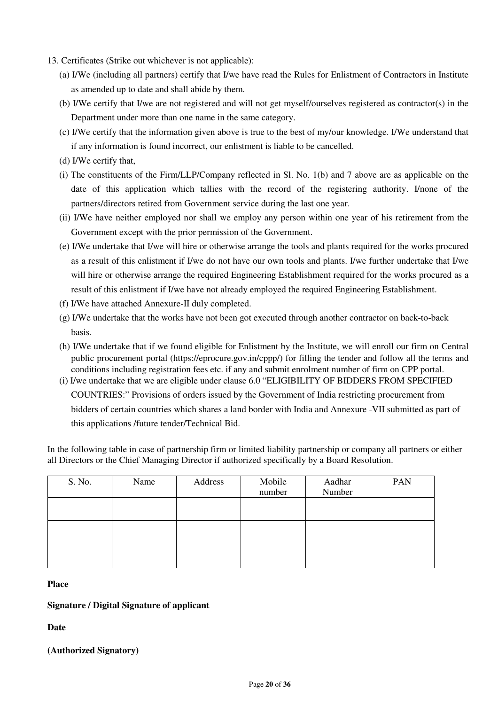- 13. Certificates (Strike out whichever is not applicable):
	- (a) I/We (including all partners) certify that I/we have read the Rules for Enlistment of Contractors in Institute as amended up to date and shall abide by them.
	- (b) I/We certify that I/we are not registered and will not get myself/ourselves registered as contractor(s) in the Department under more than one name in the same category.
	- (c) I/We certify that the information given above is true to the best of my/our knowledge. I/We understand that if any information is found incorrect, our enlistment is liable to be cancelled.
	- (d) I/We certify that,
	- (i) The constituents of the Firm/LLP/Company reflected in Sl. No. 1(b) and 7 above are as applicable on the date of this application which tallies with the record of the registering authority. I/none of the partners/directors retired from Government service during the last one year.
	- (ii) I/We have neither employed nor shall we employ any person within one year of his retirement from the Government except with the prior permission of the Government.
	- (e) I/We undertake that I/we will hire or otherwise arrange the tools and plants required for the works procured as a result of this enlistment if I/we do not have our own tools and plants. I/we further undertake that I/we will hire or otherwise arrange the required Engineering Establishment required for the works procured as a result of this enlistment if I/we have not already employed the required Engineering Establishment.
	- (f) I/We have attached Annexure-II duly completed.
	- (g) I/We undertake that the works have not been got executed through another contractor on back-to-back basis.
	- (h) I/We undertake that if we found eligible for Enlistment by the Institute, we will enroll our firm on Central public procurement portal (https://eprocure.gov.in/cppp/) for filling the tender and follow all the terms and conditions including registration fees etc. if any and submit enrolment number of firm on CPP portal.
	- (i) I/we undertake that we are eligible under clause 6.0 "ELIGIBILITY OF BIDDERS FROM SPECIFIED COUNTRIES:" Provisions of orders issued by the Government of India restricting procurement from bidders of certain countries which shares a land border with India and Annexure -VII submitted as part of this applications /future tender/Technical Bid.

In the following table in case of partnership firm or limited liability partnership or company all partners or either all Directors or the Chief Managing Director if authorized specifically by a Board Resolution.

| S. No. | Name | Address | Mobile<br>number | Aadhar<br>Number | <b>PAN</b> |
|--------|------|---------|------------------|------------------|------------|
|        |      |         |                  |                  |            |
|        |      |         |                  |                  |            |
|        |      |         |                  |                  |            |

#### **Place**

### **Signature / Digital Signature of applicant**

**Date** 

### **(Authorized Signatory)**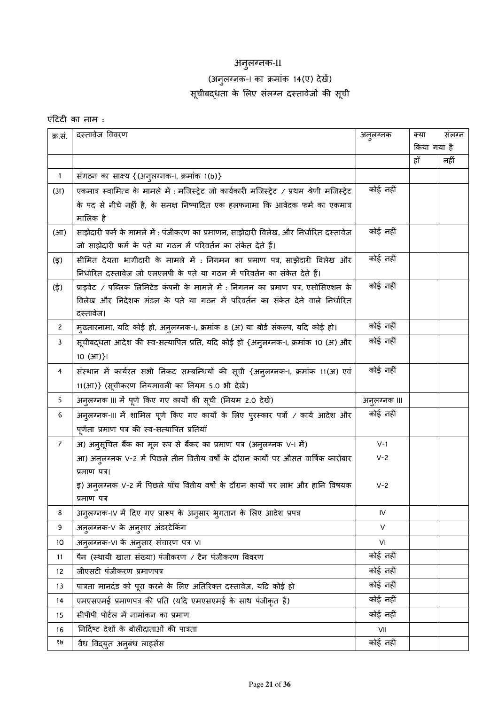# अनुलग्नक- $\scriptstyle\rm II$

## (अनुलग्नक-। का क्रमांक 14(ए) देखें) सूचीबद्धता के लिए संलग्न दस्तावेजों की सूची

### एंटिटी का नाम $:$

| क्र.सं.           | दस्तावेज विवरण                                                                                | अनुलग्नक    | क्या | संलग्न      |  |
|-------------------|-----------------------------------------------------------------------------------------------|-------------|------|-------------|--|
|                   |                                                                                               |             |      | किया गया है |  |
|                   |                                                                                               |             | हाँ  | नहीं        |  |
| $\mathbf{1}$      | संगठन का साक्ष्य {(अनुलग्नक-I, क्रमांक 1(b)}                                                  |             |      |             |  |
| (3I)              | एकमात्र स्वामित्व के मामले में : मजिस्ट्रेट जो कार्यकारी मजिस्ट्रेट / प्रथम श्रेणी मजिस्ट्रेट | कोई नहीं    |      |             |  |
|                   | के पद से नीचे नहीं है, के समक्ष निष्पादित एक हलफनामा कि आवेदक फर्म का एकमात्र                 |             |      |             |  |
|                   | मालिक है                                                                                      |             |      |             |  |
| (3 <sup>T</sup> ) | साझेदारी फर्म के मामले में : पंजीकरण का प्रमाणन, साझेदारी विलेख, और निर्धारित दस्तावेज        | कोई नहीं    |      |             |  |
|                   | जो साझेदारी फर्म के पते या गठन में परिवर्तन का संकेत देते हैं।                                |             |      |             |  |
| (इ)               | सीमित देयता भागीदारी के मामले में : निगमन का प्रमाण पत्र, साझेदारी विलेख और                   | कोई नहीं    |      |             |  |
|                   | निर्धारित दस्तावेज जो एलएलपी के पते या गठन में परिवर्तन का संकेत देते हैं।                    |             |      |             |  |
| (ई)               | प्राइवेट / पब्लिक लिमिटेड कंपनी के मामले में : निगमन का प्रमाण पत्र, एसोसिएशन के              | कोई नहीं    |      |             |  |
|                   | विलेख और निदेशक मंडल के पते या गठन में परिवर्तन का संकेत देने वाले निर्धारित                  |             |      |             |  |
|                   | दस्तावेज।                                                                                     |             |      |             |  |
| $\mathbf{2}$      | मुख्तारनामा, यदि कोई हो, अनुलग्नक-।, क्रमांक 8 (अ) या बोर्ड संकल्प, यदि कोई हो।               | कोई नहीं    |      |             |  |
| 3                 | सूचीबद्धता आदेश की स्व-सत्यापित प्रति, यदि कोई हो {अनुलग्नक-।, क्रमांक 10 (अ) और              | कोई नहीं    |      |             |  |
|                   | $10$ ( $3\pi$ )}                                                                              |             |      |             |  |
| 4                 | संस्थान में कार्यरत सभी निकट सम्बन्धियों की सूची {अनुलग्नक-।, क्रमांक 11(अ) एवं               | कोई नहीं    |      |             |  |
|                   | 11(आ)} (सूचीकरण नियमावली का नियम 5.0 भी देखें)                                                |             |      |             |  |
| 5                 | अनुलग्नक III में पूर्ण किए गए कार्यों की सूची (नियम 2.0 देखें)                                | अनुलग्नक ॥। |      |             |  |
| 6                 | अनुलग्नक-III में शामिल पूर्ण किए गए कार्यों के लिए पुरस्कार पत्रों / कार्य आदेश और            | कोई नहीं    |      |             |  |
|                   | पूर्णता प्रमाण पत्र की स्व-सत्यापित प्रतियाँ                                                  |             |      |             |  |
| $\overline{7}$    | अ) अनुसूचित बैंक का मूल रूप से बैंकर का प्रमाण पत्र (अनुलग्नक V-I में)                        | $V-1$       |      |             |  |
|                   | आ) अनुलग्नक V-2 में पिछले तीन वितीय वर्षों के दौरान कार्यों पर औसत वार्षिक कारोबार            | $V - 2$     |      |             |  |
|                   | प्रमाण पत्र।                                                                                  |             |      |             |  |
|                   | इ) अन् <b>लग्नक V-2 में पिछले पाँच वितीय वर्षों</b> के दौरान कार्यों पर लाभ और हानि विषयक     | $V - 2$     |      |             |  |
|                   | प्रमाण पत्र                                                                                   |             |      |             |  |
| 8                 | अनुलग्नक-IV में दिए गए प्रारूप के अनुसार भुगतान के लिए आदेश प्रपत्र                           | ${\sf IV}$  |      |             |  |
| 9                 | अनुलग्नक-V के अनुसार अंडरटेकिंग                                                               | V           |      |             |  |
| $10$              | अनुलग्नक-VI के अनुसार संचारण पत्र VI                                                          | VI          |      |             |  |
| 11                | पैन (स्थायी खाता संख्या) पंजीकरण / टैन पंजीकरण विवरण                                          | कोई नहीं    |      |             |  |
| 12                | जीएसटी पंजीकरण प्रमाणपत्र                                                                     | कोई नहीं    |      |             |  |
| 13                | पात्रता मानदंड को पूरा करने के लिए अतिरिक्त दस्तावेज, यदि कोई हो                              | कोई नहीं    |      |             |  |
| 14                | एमएसएमई प्रमाणपत्र की प्रति (यदि एमएसएमई के साथ पंजीकृत हैं)                                  | कोई नहीं    |      |             |  |
| 15                | सीपीपी पोर्टल में नामांकन का प्रमाण                                                           | कोई नहीं    |      |             |  |
| 16                | निर्दिष्ट देशों के बोलीदाताओं की पात्रता                                                      | VII         |      |             |  |
| १७                | वैध विद्युत अनुबंध लाइसेंस                                                                    | कोई नहीं    |      |             |  |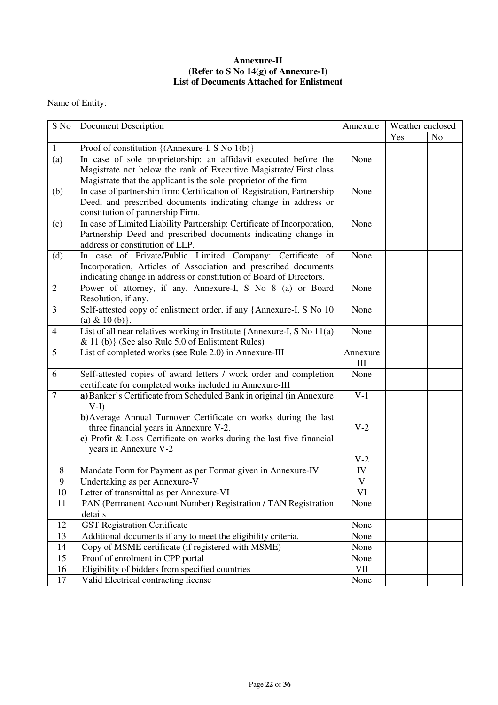### **Annexure-II (Refer to S No 14(g) of Annexure-I) List of Documents Attached for Enlistment**

Name of Entity:

| S No           | <b>Document Description</b>                                                 | Annexure | Weather enclosed |                |
|----------------|-----------------------------------------------------------------------------|----------|------------------|----------------|
|                |                                                                             |          | Yes              | N <sub>o</sub> |
| $\mathbf{1}$   | Proof of constitution {(Annexure-I, S No 1(b)}                              |          |                  |                |
| (a)            | In case of sole proprietorship: an affidavit executed before the            | None     |                  |                |
|                | Magistrate not below the rank of Executive Magistrate/ First class          |          |                  |                |
|                | Magistrate that the applicant is the sole proprietor of the firm            |          |                  |                |
| (b)            | In case of partnership firm: Certification of Registration, Partnership     | None     |                  |                |
|                | Deed, and prescribed documents indicating change in address or              |          |                  |                |
|                | constitution of partnership Firm.                                           |          |                  |                |
| (c)            | In case of Limited Liability Partnership: Certificate of Incorporation,     | None     |                  |                |
|                | Partnership Deed and prescribed documents indicating change in              |          |                  |                |
|                | address or constitution of LLP.                                             |          |                  |                |
| (d)            | In case of Private/Public Limited Company: Certificate of                   | None     |                  |                |
|                | Incorporation, Articles of Association and prescribed documents             |          |                  |                |
|                | indicating change in address or constitution of Board of Directors.         |          |                  |                |
| $\overline{2}$ | Power of attorney, if any, Annexure-I, S No 8 (a) or Board                  | None     |                  |                |
|                | Resolution, if any.                                                         |          |                  |                |
| 3              | Self-attested copy of enlistment order, if any {Annexure-I, S No 10         | None     |                  |                |
|                | (a) & $10(b)$ .                                                             |          |                  |                |
| $\overline{4}$ | List of all near relatives working in Institute {Annexure-I, $S$ No $11(a)$ | None     |                  |                |
|                | & 11 (b)} (See also Rule 5.0 of Enlistment Rules)                           |          |                  |                |
| 5              | List of completed works (see Rule 2.0) in Annexure-III                      | Annexure |                  |                |
|                |                                                                             | Ш        |                  |                |
| 6              | Self-attested copies of award letters / work order and completion           | None     |                  |                |
|                | certificate for completed works included in Annexure-III                    |          |                  |                |
| $\overline{7}$ | a) Banker's Certificate from Scheduled Bank in original (in Annexure        | $V-1$    |                  |                |
|                | $V-I$                                                                       |          |                  |                |
|                | b) Average Annual Turnover Certificate on works during the last             |          |                  |                |
|                | three financial years in Annexure V-2.                                      | $V-2$    |                  |                |
|                | c) Profit & Loss Certificate on works during the last five financial        |          |                  |                |
|                | years in Annexure V-2                                                       |          |                  |                |
|                |                                                                             | $V-2$    |                  |                |
| 8              | Mandate Form for Payment as per Format given in Annexure-IV                 | IV       |                  |                |
| 9              | Undertaking as per Annexure-V                                               | V        |                  |                |
| 10             | Letter of transmittal as per Annexure-VI                                    | VI       |                  |                |
| 11             | PAN (Permanent Account Number) Registration / TAN Registration              | None     |                  |                |
|                | details                                                                     |          |                  |                |
| 12             | <b>GST Registration Certificate</b>                                         | None     |                  |                |
| 13             | Additional documents if any to meet the eligibility criteria.               | None     |                  |                |
| 14             | Copy of MSME certificate (if registered with MSME)                          | None     |                  |                |
| 15             | Proof of enrolment in CPP portal                                            | None     |                  |                |
| 16             | Eligibility of bidders from specified countries                             | VII      |                  |                |
| 17             | Valid Electrical contracting license                                        | None     |                  |                |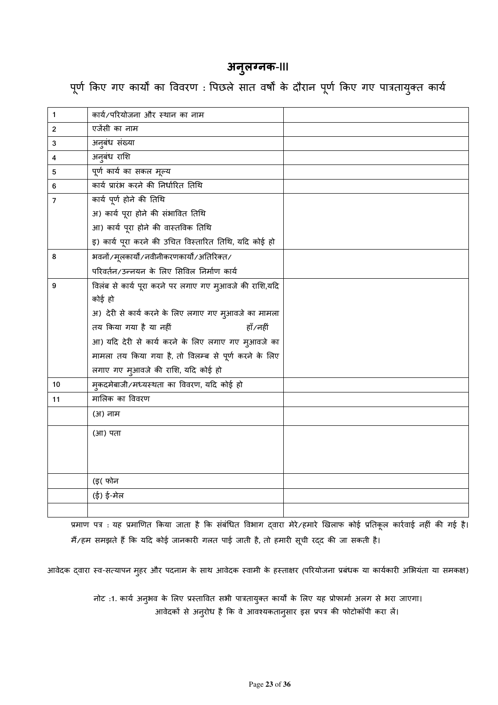## **अनुलग्नक-**III

पूर्ण किए गए कार्यों का विवरण : पिछले सात वर्षों के दौरान पूर्ण किए गए पात्रतायुक्त कार्य

| 1              | कार्य/परियोजना और स्थान का नाम                         |  |
|----------------|--------------------------------------------------------|--|
| $\overline{2}$ | एजेंसी का नाम                                          |  |
| 3              | अनुबंध संख्या                                          |  |
| 4              | अनुबंध राशि                                            |  |
| 5              | पूर्ण कार्य का सकल मूल्य                               |  |
| 6              | कार्य प्रारंभ करने की निर्धारित तिथि                   |  |
| $\overline{7}$ | कार्य पूर्ण होने की तिथि                               |  |
|                | अ) कार्य पूरा होने की संभावित तिथि                     |  |
|                | आ) कार्य पूरा होने की वास्तविक तिथि                    |  |
|                | इ) कार्य पूरा करने की उचित विस्तारित तिथि, यदि कोई हो  |  |
| 8              | भवनों/मूलकार्यों/नवीनीकरणकार्यों/अतिरिक्त/             |  |
|                | परिवर्तन/उन्नयन के लिए सिविल निर्माण कार्य             |  |
| 9              | विलंब से कार्य पूरा करने पर लगाए गए मुआवजे की राशि,यदि |  |
|                | कोई हो                                                 |  |
|                | अ) देरी से कार्य करने के लिए लगाए गए मुआवजे का मामला   |  |
|                | तय किया गया है या नहीं<br>हाँ⁄नहीं                     |  |
|                | आ) यदि देरी से कार्य करने के लिए लगाए गए मुआवजे का     |  |
|                | मामला तय किया गया है, तो विलम्ब से पूर्ण करने के लिए   |  |
|                | लगाए गए मुआवजे की राशि, यदि कोई हो                     |  |
| 10             | म्कदमेबाजी/मध्यस्थता का विवरण, यदि कोई हो              |  |
| 11             | मालिक का विवरण                                         |  |
|                | (अ) नाम                                                |  |
|                | (आ) पता                                                |  |
|                |                                                        |  |
|                |                                                        |  |
|                | (इ( फोन                                                |  |
|                | (ई) ई-मेल                                              |  |
|                |                                                        |  |
|                |                                                        |  |

प्रमाण पत्र : यह प्रमाणित किया जाता है कि संबंधित विभाग द्वारा मेरे/हमारे खिलाफ कोई प्रतिकूल कार्रवाई नहीं की गई है। मैं/हम समझते हैं कि यदि कोई जानकारी गलत पाई जाती है, तो हमारी सूची रद्द की जा सकती है।

आवेदक द्**वारा स्व-सत्यापन मुहर और पदनाम के साथ** आवेदक स्वामी के हस्ताक्षर (परियोजना प्रबंधक या कार्यकारी अभियंता या समकक्ष)

नोट :1. कार्य अनुभव के लिए प्रस्तावित सभी पात्रतायुक्त कार्यों के लिए यह प्रोफार्मा अलग से भरा जाएगा। आवेदकों से अनुरोध है कि वे आवश्यकतानुसार इस प्रपत्र की फोटोकॉपी करा लें।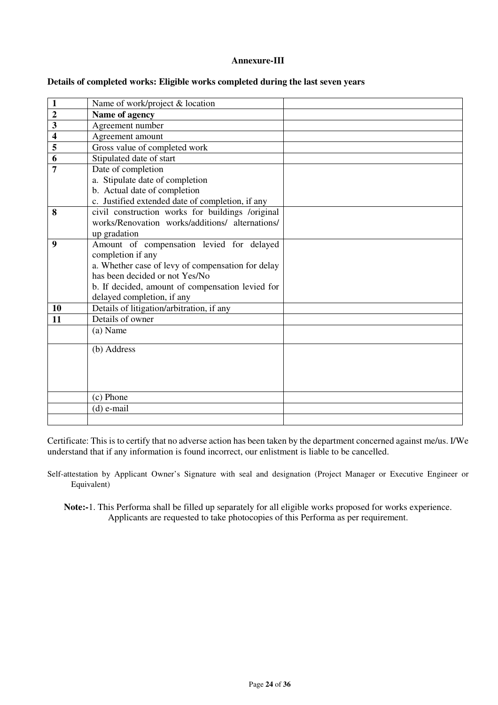#### **Annexure-III**

| Name of work/project & location |                                                                                                                                                                                                                                                                                                                                                                                                                                                                                                                                                 |
|---------------------------------|-------------------------------------------------------------------------------------------------------------------------------------------------------------------------------------------------------------------------------------------------------------------------------------------------------------------------------------------------------------------------------------------------------------------------------------------------------------------------------------------------------------------------------------------------|
| Name of agency                  |                                                                                                                                                                                                                                                                                                                                                                                                                                                                                                                                                 |
| Agreement number                |                                                                                                                                                                                                                                                                                                                                                                                                                                                                                                                                                 |
| Agreement amount                |                                                                                                                                                                                                                                                                                                                                                                                                                                                                                                                                                 |
|                                 |                                                                                                                                                                                                                                                                                                                                                                                                                                                                                                                                                 |
| Stipulated date of start        |                                                                                                                                                                                                                                                                                                                                                                                                                                                                                                                                                 |
| Date of completion              |                                                                                                                                                                                                                                                                                                                                                                                                                                                                                                                                                 |
| a. Stipulate date of completion |                                                                                                                                                                                                                                                                                                                                                                                                                                                                                                                                                 |
| b. Actual date of completion    |                                                                                                                                                                                                                                                                                                                                                                                                                                                                                                                                                 |
|                                 |                                                                                                                                                                                                                                                                                                                                                                                                                                                                                                                                                 |
|                                 |                                                                                                                                                                                                                                                                                                                                                                                                                                                                                                                                                 |
|                                 |                                                                                                                                                                                                                                                                                                                                                                                                                                                                                                                                                 |
|                                 |                                                                                                                                                                                                                                                                                                                                                                                                                                                                                                                                                 |
|                                 |                                                                                                                                                                                                                                                                                                                                                                                                                                                                                                                                                 |
|                                 |                                                                                                                                                                                                                                                                                                                                                                                                                                                                                                                                                 |
|                                 |                                                                                                                                                                                                                                                                                                                                                                                                                                                                                                                                                 |
|                                 |                                                                                                                                                                                                                                                                                                                                                                                                                                                                                                                                                 |
|                                 |                                                                                                                                                                                                                                                                                                                                                                                                                                                                                                                                                 |
|                                 |                                                                                                                                                                                                                                                                                                                                                                                                                                                                                                                                                 |
|                                 |                                                                                                                                                                                                                                                                                                                                                                                                                                                                                                                                                 |
|                                 |                                                                                                                                                                                                                                                                                                                                                                                                                                                                                                                                                 |
|                                 |                                                                                                                                                                                                                                                                                                                                                                                                                                                                                                                                                 |
|                                 |                                                                                                                                                                                                                                                                                                                                                                                                                                                                                                                                                 |
|                                 |                                                                                                                                                                                                                                                                                                                                                                                                                                                                                                                                                 |
|                                 |                                                                                                                                                                                                                                                                                                                                                                                                                                                                                                                                                 |
|                                 |                                                                                                                                                                                                                                                                                                                                                                                                                                                                                                                                                 |
|                                 |                                                                                                                                                                                                                                                                                                                                                                                                                                                                                                                                                 |
| (c) Phone                       |                                                                                                                                                                                                                                                                                                                                                                                                                                                                                                                                                 |
| $(d)$ e-mail                    |                                                                                                                                                                                                                                                                                                                                                                                                                                                                                                                                                 |
|                                 |                                                                                                                                                                                                                                                                                                                                                                                                                                                                                                                                                 |
|                                 | Gross value of completed work<br>c. Justified extended date of completion, if any<br>civil construction works for buildings /original<br>works/Renovation works/additions/ alternations/<br>up gradation<br>Amount of compensation levied for delayed<br>completion if any<br>a. Whether case of levy of compensation for delay<br>has been decided or not Yes/No<br>b. If decided, amount of compensation levied for<br>delayed completion, if any<br>Details of litigation/arbitration, if any<br>Details of owner<br>(a) Name<br>(b) Address |

#### **Details of completed works: Eligible works completed during the last seven years**

Certificate: This is to certify that no adverse action has been taken by the department concerned against me/us. I/We understand that if any information is found incorrect, our enlistment is liable to be cancelled.

Self-attestation by Applicant Owner's Signature with seal and designation (Project Manager or Executive Engineer or Equivalent)

**Note:-**1. This Performa shall be filled up separately for all eligible works proposed for works experience. Applicants are requested to take photocopies of this Performa as per requirement.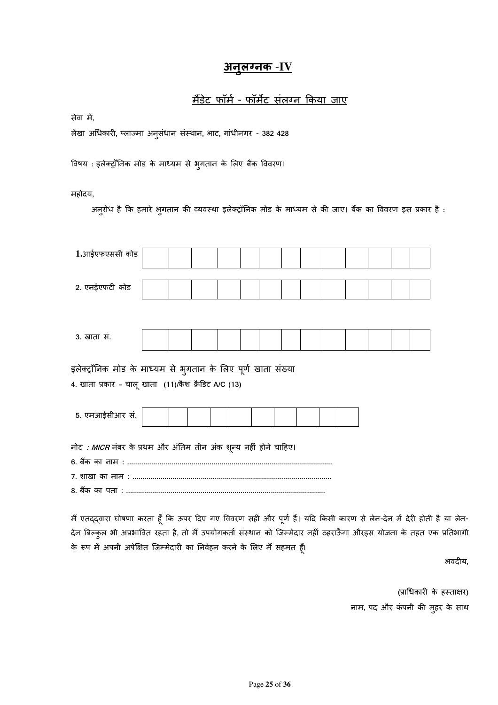# <u>अनुलग्नक -IV</u>

# <u>मैंडेट फॉर्म - फॉर्मेट संलग्न किया जाए</u>

सेवा में,

लेखा अधकार6**,** &ला'मा अनुसंधान सं"थान**,** भाट**,** गांधीनगर - **382 428** 

विषय : इलेक्ट्रॉनिक मोड के माध्यम से भुगतान के लिए बैंक विवरण।

महोदय**,** 

अनुरोध है कि हमारे भुगतान की व्यवस्था इलेक्ट्रॉनिक मोड के माध्यम से की जाए। बैंक का विवरण इस प्रकार है :

| 1.आईएफएससी कोड                                                                                                                |  |  |  |  |  |  |  |  |  |  |  |
|-------------------------------------------------------------------------------------------------------------------------------|--|--|--|--|--|--|--|--|--|--|--|
| 2. एनईएफटी कोड                                                                                                                |  |  |  |  |  |  |  |  |  |  |  |
|                                                                                                                               |  |  |  |  |  |  |  |  |  |  |  |
| 3. खाता सं.                                                                                                                   |  |  |  |  |  |  |  |  |  |  |  |
| <u>इलेक्ट्रॉनिक मोड के माध्यम से भुगतान के लिए पूर्ण खाता संख्या</u><br>4. खाता प्रकार – चालू खाता  (11)/कैश क्रैडिट A/C (13) |  |  |  |  |  |  |  |  |  |  |  |
| 5. एमआईसीआर सं.                                                                                                               |  |  |  |  |  |  |  |  |  |  |  |
| नोट <i>: MICR</i> नंबर के प्रथम और अंतिम तीन अंक शून्य नहीं होने चाहिए।                                                       |  |  |  |  |  |  |  |  |  |  |  |

मैं एतद्द्वारा घोषणा करता हूँ कि ऊपर दिए गए विवरण सही और पूर्ण हैं। यदि किसी कारण से लेन-देन में देरी होती है या लेन-देन बिल्कुल भी अप्रभावित रहता है, तो मैं उपयोगकतो संस्थान को जिम्मेदार नहीं ठहराऊँगा औरइस योजना के तहत एक प्रतिभागी के रूप में अपनी अपेक्षित जिम्मेदारी का निर्वहन करने के लिए मैं सहमत हूँ।

भवद6य**,** 

(प्राधिकारी के हस्ताक्षर) नाम, पद और कंपनी की मुहर के साथ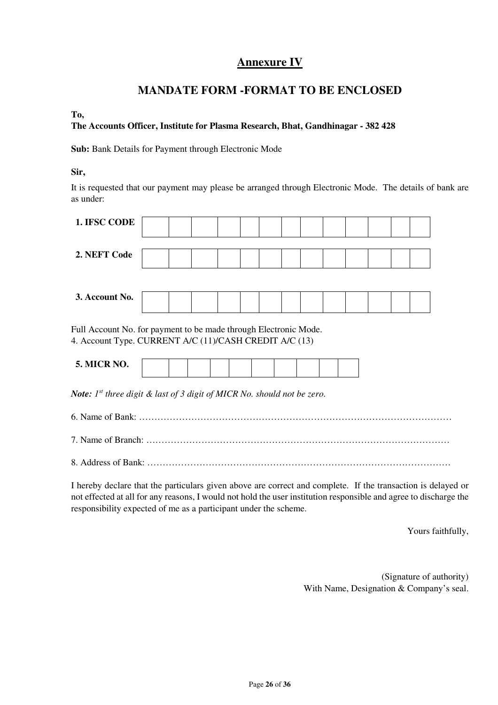# **Annexure IV**

# **MANDATE FORM -FORMAT TO BE ENCLOSED**

### **To,**

### **The Accounts Officer, Institute for Plasma Research, Bhat, Gandhinagar - 382 428**

**Sub:** Bank Details for Payment through Electronic Mode

### **Sir,**

It is requested that our payment may please be arranged through Electronic Mode. The details of bank are as under:

| 1. IFSC CODE                                                                                                               |  |  |  |  |  |  |  |  |  |  |  |
|----------------------------------------------------------------------------------------------------------------------------|--|--|--|--|--|--|--|--|--|--|--|
| 2. NEFT Code                                                                                                               |  |  |  |  |  |  |  |  |  |  |  |
| 3. Account No.                                                                                                             |  |  |  |  |  |  |  |  |  |  |  |
| Full Account No. for payment to be made through Electronic Mode.<br>4. Account Type. CURRENT A/C (11)/CASH CREDIT A/C (13) |  |  |  |  |  |  |  |  |  |  |  |
| <b>5. MICR NO.</b>                                                                                                         |  |  |  |  |  |  |  |  |  |  |  |

*Note: 1st three digit & last of 3 digit of MICR No. should not be zero.* 

- 6. Name of Bank: …………………………………………………………………………………………
- 7. Name of Branch: ………………………………………………………………………………………
- 8. Address of Bank: ………………………………………………………………………………………

I hereby declare that the particulars given above are correct and complete. If the transaction is delayed or not effected at all for any reasons, I would not hold the user institution responsible and agree to discharge the responsibility expected of me as a participant under the scheme.

Yours faithfully,

(Signature of authority) With Name, Designation & Company's seal.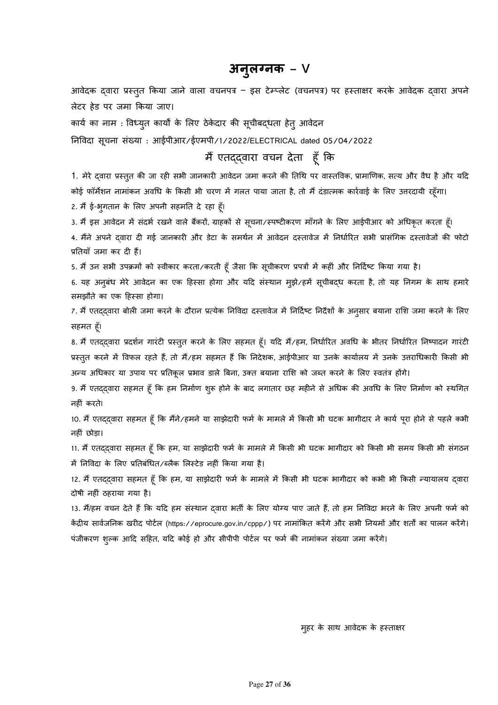# **अन ु ल>नक – V**

आवेदक द्वारा प्रस्तुत किया जाने वाला वचनपत्र – इस टेम्प्लेट (वचनपत्र) पर हस्ताक्षर करके आवेदक द्वारा अपने लेटर हेड पर जमा किया जाए।

कार्य का नाम : विध्यूत कार्यों के लिए ठेकेदार की सूचीबदधता हेतु आवेदन

निविदा सूचना संख्या : आईपीआर/ईएमपी/1/2022/ELECTRICAL dated 05/04/2022

मैं एतद्द्वारा वचन देता हूँ कि

1. मेरे द्वारा प्रस्तुत की जा रही सभी जानकारी आवेदन जमा करने की तिथि पर वास्तविक, प्रामाणिक, सत्य और वैध है और यदि कोई फॉर्मेशन नामांकन अवधि के किसी भी चरण में गलत पाया जाता है, तो मैं दंडात्मक कार्रवाई के लिए उत्तरदायी रहूँगा।

2. मैं ई-भुगतान के लिए अपनी सहमति दे रहा हूँ।

3. मैं इस आवेदन में संदर्भ रखने वाले बैंकरों, ग्राहकों से सूचना/स्पष्टीकरण माँगने के लिए आईपीआर को अधिकृत करता हूँ।

4. मैंने अपने द्वारा दी गई जानकारी और डेटा के समर्थन में आवेदन दस्तावेज में निर्धारित सभी प्रासंगिक दस्तावेजों की फोटो प्रतियाँ जमा कर दी हैं।

5. मैं उन सभी उपक्रमों को स्वीकार करता/करती हूँ जैसा कि सूचीकरण प्रपत्रों में कहीं और निर्दिष्ट किया गया है।

6. यह अनुबंध मेरे आवेदन का एक हिस्सा होगा और यदि संस्थान मुझे/हमें सूचीबद्ध करता है, तो यह निगम के साथ हमारे समझौते का एक हिस्सा होगा।

7. मैं एतददवारा बोली जमा करने के दौरान प्रत्येक निविदा दस्तावेज में निर्दिष्ट निर्देशों के अनुसार बयाना राशि जमा करने के लिए सहमत हूँ।

8. मैं एतदद्वारा प्रदर्शन गारंटी प्रस्तुत करने के लिए सहमत हूँ। यदि मैं/हम, निर्धारित अवधि के भीतर निर्धारित निष्पादन गारंटी प्रस्तुत करने में विफल रहते हैं, तो मैं/हम सहमत हैं कि निदेशक, आईपीआर या उनके कार्यालय में उनके उत्तराधिकारी किसी भी अन्य अधिकार या उपाय पर प्रतिकूल प्रभाव डाले बिना, उक्त बयाना राशि को जब्त करने के लिए स्वतंत्र होंगे।

9. मैं एतद्द्वारा सहमत हूँ कि हम निर्माण शुरू होने के बाद लगातार छह महीने से अधिक की अवधि के लिए निर्माण को स्थगित नहीं करते।

10. मैं एतद्द्वारा सहमत हूँ कि मैंने/हमने या साझेदारी फर्म के मामले में किसी भी घटक भागीदार ने कार्य पूरा होने से पहले कभी नहीं छोड़ा।

11. मैं एतद्द्वारा सहमत हूँ कि हम, या साझेदारी फर्म के मामले में किसी भी घटक भागीदार को किसी भी समय किसी भी संगठन में निविदा के लिए प्रतिबंधित/ब्लैक लिस्टेड नहीं किया गया है।

12. मैं एतद्द्वारा सहमत हूँ कि हम, या साझेदारी फर्म के मामले में किसी भी घटक भागीदार को कभी भी किसी न्यायालय द्वारा दोषी नहीं ठहराया गया है।

13. मैं/हम वचन देते हैं कि यदि हम संस्थान दवारा भर्ती के लिए योग्य पाए जाते हैं, तो हम निविदा भरने के लिए अपनी फर्म को केंद्रीय सार्वजनिक खरीद पोर्टल (https://eprocure.gov.in/cppp/) पर नामांकित करेंगे और सभी नियमों और शर्तों का पालन करेंगे। पंजीकरण शुल्क आदि सहित, यदि कोई हो और सीपीपी पोटेल पर फर्म की नामांकन संख्या जमा करेंगे।

मृहर के साथ आवेदक के हस्ताक्षर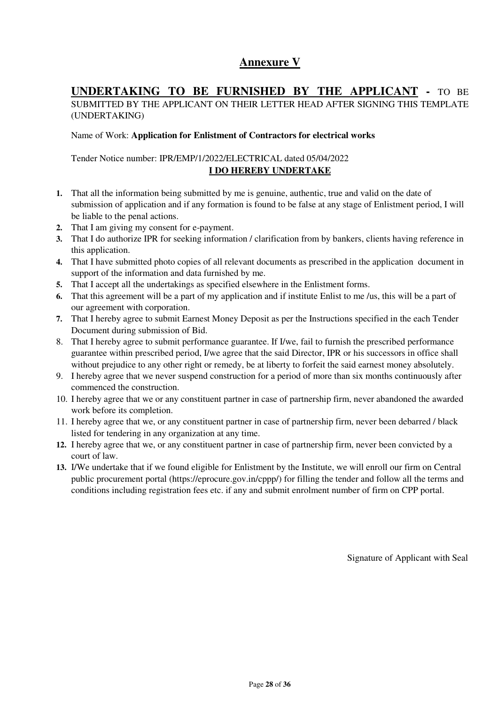# **Annexure V**

## **UNDERTAKING TO BE FURNISHED BY THE APPLICANT -** TO BE

SUBMITTED BY THE APPLICANT ON THEIR LETTER HEAD AFTER SIGNING THIS TEMPLATE (UNDERTAKING)

### Name of Work: **Application for Enlistment of Contractors for electrical works**

### Tender Notice number: IPR/EMP/1/2022/ELECTRICAL dated 05/04/2022 **I DO HEREBY UNDERTAKE**

- **1.** That all the information being submitted by me is genuine, authentic, true and valid on the date of submission of application and if any formation is found to be false at any stage of Enlistment period, I will be liable to the penal actions.
- **2.** That I am giving my consent for e-payment.
- **3.** That I do authorize IPR for seeking information / clarification from by bankers, clients having reference in this application.
- **4.** That I have submitted photo copies of all relevant documents as prescribed in the application document in support of the information and data furnished by me.
- **5.** That I accept all the undertakings as specified elsewhere in the Enlistment forms.
- **6.** That this agreement will be a part of my application and if institute Enlist to me /us, this will be a part of our agreement with corporation.
- **7.** That I hereby agree to submit Earnest Money Deposit as per the Instructions specified in the each Tender Document during submission of Bid.
- 8. That I hereby agree to submit performance guarantee. If I/we, fail to furnish the prescribed performance guarantee within prescribed period, I/we agree that the said Director, IPR or his successors in office shall without prejudice to any other right or remedy, be at liberty to forfeit the said earnest money absolutely.
- 9. I hereby agree that we never suspend construction for a period of more than six months continuously after commenced the construction.
- 10. I hereby agree that we or any constituent partner in case of partnership firm, never abandoned the awarded work before its completion.
- 11. I hereby agree that we, or any constituent partner in case of partnership firm, never been debarred / black listed for tendering in any organization at any time.
- **12.** I hereby agree that we, or any constituent partner in case of partnership firm, never been convicted by a court of law.
- **13.** I/We undertake that if we found eligible for Enlistment by the Institute, we will enroll our firm on Central public procurement portal (https://eprocure.gov.in/cppp/) for filling the tender and follow all the terms and conditions including registration fees etc. if any and submit enrolment number of firm on CPP portal.

Signature of Applicant with Seal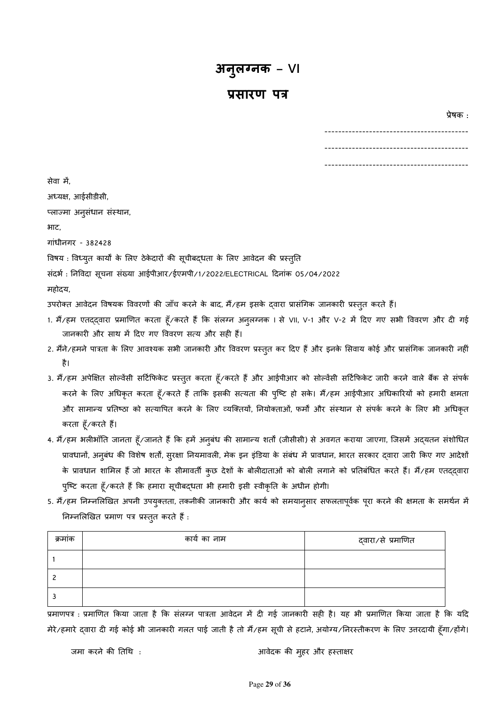## **?सारण प'**

 $\alpha$ .  $\beta$  ,  $\beta$  ,  $\beta$  ,  $\beta$  ,  $\beta$  ,  $\beta$  ,  $\beta$  ,  $\beta$  ,  $\beta$  ,  $\beta$  ,  $\beta$  ,  $\beta$  ,  $\beta$  ,  $\beta$  ,  $\beta$  ,  $\beta$  ,  $\beta$  ,  $\beta$  ,  $\beta$  ,  $\beta$  ,  $\beta$  ,  $\beta$  ,  $\beta$  ,  $\beta$  ,  $\beta$  ,  $\beta$  ,  $\beta$  ,  $\beta$  ,  $\beta$  ,  $\beta$  ,  $\beta$ 

| --- |
|-----|
| --- |
| --- |

| सेवा में,                                                                                                                          |
|------------------------------------------------------------------------------------------------------------------------------------|
| अध्यक्ष, आईसीडीसी,                                                                                                                 |
| प्लाज्मा अनुसंधान संस्थान,                                                                                                         |
| भाट,                                                                                                                               |
| गांधीनगर - 382428                                                                                                                  |
| विषय : विध्युत कार्यों के लिए ठेकेदारों की सूचीबद्धता के लिए आवेदन की प्रस्तुति                                                    |
| संदर्भ : निविदा सूचना संख्या आईपीआर/ईएमपी/1/2022/ELECTRICAL दिनांक 05/04/2022                                                      |
| महोदय,                                                                                                                             |
| उपरोक्त आवेदन विषयक विवरणों की जाँच करने के बाद, मैं/हम इसके द्वारा प्रासंगिक जानकारी प्रस्तुत करते हैं।                           |
| 1. मैं/हम एतद्द्वारा प्रमाणित करता हूँ/करते हैं कि संलग्न अनुलग्नक । से VII, V-1 और V-2 में दिए गए सभी विवरण और दी गई              |
| जानकारी और साथ में दिए गए विवरण सत्य और सही हैं।                                                                                   |
| 2. मैंने/हमने पात्रता के लिए आवश्यक सभी जानकारी और विवरण प्रस्तुत कर दिए हैं और इनके सिवाय कोई और प्रासंगिक जानकारी नहीं           |
| है।                                                                                                                                |
| 3. मैं/हम अपेक्षित सोल्वेंसी सर्टिफिकेट प्रस्तुत करता हूँ/करते हैं और आईपीआर को सोल्वेंसी सर्टिफिकेट जारी करने वाले बैंक से संपर्क |
| करने के लिए अधिकृत करता हूँ/करते हैं ताकि इसकी सत्यता की पुष्टि हो सके। मैं/हम आईपीआर अधिकारियों को हमारी क्षमता                   |
| और सामान्य प्रतिष्ठा को सत्यापित करने के लिए व्यक्तियों, नियोक्ताओं, फर्मों और संस्थान से संपर्क करने के लिए भी अधिकृत             |
| करता हूँ⁄करते हैं।                                                                                                                 |
| 4. मैं/हम भलीभाँति जानता हूँ/जानते हैं कि हमें अनुबंध की सामान्य शर्ता (जीसीसी) से अवगत कराया जाएगा, जिसमें अद्यतन संशोधित         |
| पावधानों  भनबंध की विशेष शर्तों सरक्षा नियमावली मेक दन दंदिया के संबंध में पावधान भारत सरकार दवारा जारी किए गए भादेशो              |

ि, अनुबंध की विशेष शर्तो, सुरक्षा नियमावली, मेक इन इंडिया के संबंध में प्रावधान, भारत सरकार द्वारा जारी किए गए आदे के प्रावधान शामिल हैं जो भारत के सीमावर्ती कुछ देशों के बोलीदाताओं को बोली लगाने को प्रतिबंधित करते हैं। मैं/हम एतद्द्वारा पुष्टि करता हूँ/करते हैं कि हमारा सूचीबद्धता भी हमारी इसी स्वीकृति के अधीन होगी।

5. मैं/हम निम्नलिखित अपनी उपयुक्तता, तकनीकी जानकारी और कार्य को समयानुसार सफलतापूर्वक पूरा करने की क्षमता के समर्थन में निम्नलिखित प्रमाण पत्र प्रस्तुत करते हैं :

| क्रमाक | कार्य का नाम | द्वारा∕से प्रमाणित |
|--------|--------------|--------------------|
|        |              |                    |
|        |              |                    |
|        |              |                    |

.<br>प्रमाणपत्र : प्रमाणित किया जाता है कि संलग्न पात्रता आवेदन में दी गई जानकारी सही है। यह भी प्रमाणित किया जाता है कि यदि मेरे/हमारे द्वारा दी गई कोई भी जानकारी गलत पाई जाती है तो मैं/हम सूची से हटाने, अयोग्य/निरस्तीकरण के लिए उत्तरदायी हूँगा/होंगे।

जमा करने की तिथि : अब्दिक की मुहर और हस्ताक्षर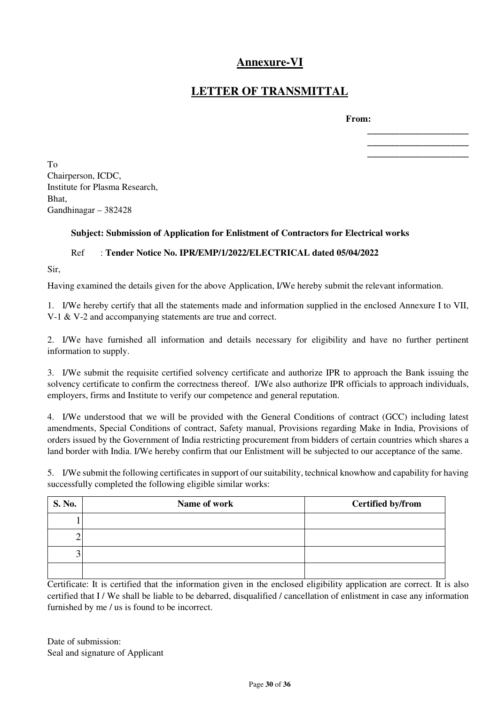# **Annexure-VI**

# **LETTER OF TRANSMITTAL**

 **From:** 

**\_\_\_\_\_\_\_\_\_\_\_\_\_\_\_\_\_\_\_\_\_\_ \_\_\_\_\_\_\_\_\_\_\_\_\_\_\_\_\_\_\_\_\_\_ \_\_\_\_\_\_\_\_\_\_\_\_\_\_\_\_\_\_\_\_\_\_** 

To Chairperson, ICDC, Institute for Plasma Research, Bhat, Gandhinagar – 382428

### **Subject: Submission of Application for Enlistment of Contractors for Electrical works**

### Ref : **Tender Notice No. IPR/EMP/1/2022/ELECTRICAL dated 05/04/2022**

Sir,

Having examined the details given for the above Application, I/We hereby submit the relevant information.

1. I/We hereby certify that all the statements made and information supplied in the enclosed Annexure I to VII, V-1 & V-2 and accompanying statements are true and correct.

2. I/We have furnished all information and details necessary for eligibility and have no further pertinent information to supply.

3. I/We submit the requisite certified solvency certificate and authorize IPR to approach the Bank issuing the solvency certificate to confirm the correctness thereof. I/We also authorize IPR officials to approach individuals, employers, firms and Institute to verify our competence and general reputation.

4. I/We understood that we will be provided with the General Conditions of contract (GCC) including latest amendments, Special Conditions of contract, Safety manual, Provisions regarding Make in India, Provisions of orders issued by the Government of India restricting procurement from bidders of certain countries which shares a land border with India. I/We hereby confirm that our Enlistment will be subjected to our acceptance of the same.

5. I/We submit the following certificates in support of our suitability, technical knowhow and capability for having successfully completed the following eligible similar works:

| S. No. | Name of work | Certified by/from |
|--------|--------------|-------------------|
|        |              |                   |
|        |              |                   |
|        |              |                   |
|        |              |                   |

Certificate: It is certified that the information given in the enclosed eligibility application are correct. It is also certified that I / We shall be liable to be debarred, disqualified / cancellation of enlistment in case any information furnished by me / us is found to be incorrect.

Date of submission: Seal and signature of Applicant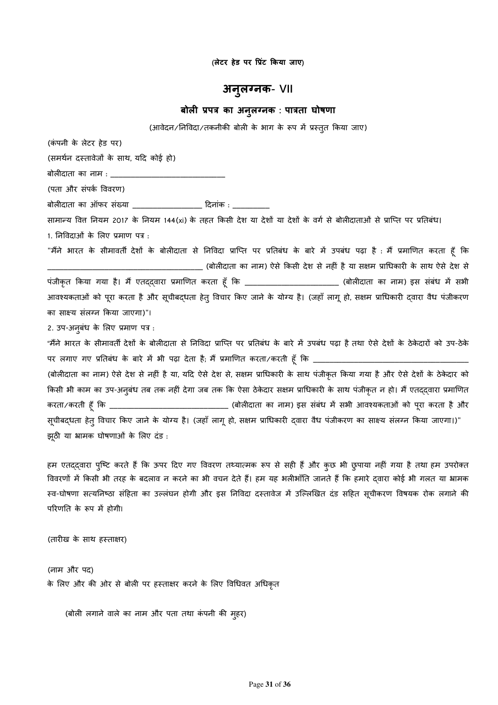**(लेटर हेड पर -?ंट Aकया जाए)** 

## **अनुलग्नक- VII**

### **बोल9 ?प' का अनल>नक ु : पा'ता घोषणा**

(आवेदन/निविदा/तकनीकी बोली के भाग के रूप में प्रस्तुत किया जाए)

(कं पनी के लेटर हेड पर)

(समर्थन दस्तावेजों के साथ, यदि कोई हो)

बोलीदाता का नाम : \_\_\_\_\_\_\_\_\_\_\_\_\_

(पता और संपक ववरण)

बोल6दाता का ऑफर संSया \_\_\_\_\_\_\_\_\_\_\_\_\_\_\_\_\_ Tदनांक : \_\_\_\_\_\_\_\_\_

सामान्य वित्त नियम 2017 के नियम 144(xi) के तहत किसी देश या देशों या देशों के वर्ग से बोलीदाताओं से प्राप्ति पर प्रतिबंध। 1. निविदाओं के लिए प्रमाण पत्र :

"मैंने भारत के सीमावर्ती देशों के बोलीदाता से निविदा प्राप्ति पर प्रतिबंध के बारे में उपबंध पढ़ा है : मैं प्रमाणित करता हूँ कि \_\_\_\_\_\_\_\_\_\_\_\_\_\_\_\_\_\_\_\_\_\_\_\_\_\_\_\_\_\_\_\_\_\_\_\_\_\_ (बोल6दाता का नाम) ऐसे 3कसी देश से नह6ं है या स>म .ाधकार6 के साथ ऐसे देश से पंजीकृत किया गया है। मैं एतद्द्वारा प्रमाणित करता हूँ कि \_\_\_\_\_\_\_\_\_\_\_\_\_\_\_\_\_\_\_\_\_\_\_\_ (बोलीदाता का नाम) इस संबंध में सभी आवश्यकताओं को पूरा करता है और सूचीबद्धता हेतू विचार किए जाने के योग्य है। (जहाँ लागू हो, सक्षम प्राधिकारी दवारा वैध पंजीकरण का साक्ष्य संलग्न किया जाएगा)"।

2. उप-अनुबंध के लिए प्रमाण पत्र :

"मैंने भारत के सीमावर्ती देशों के बोलीदाता से निविदा प्राप्ति पर प्रतिबंध के बारे में उपबंध पढ़ा है तथा ऐसे देशों के ठेकेदारों को उप-ठेके पर लगाए गए प्रतिबंध के बारे में भी पढ़ा देता है; मैं प्रमाणित करता/करती हूँ कि \_\_

(बोलीदाता का नाम) ऐसे देश से नहीं है या, यदि ऐसे देश से, सक्षम प्राधिकारी के साथ पंजीकृत किया गया है और ऐसे देशों के ठेकेदार को किसी भी काम का उप-अनुबंध तब तक नहीं देगा जब तक कि ऐसा ठेकेदार सक्षम प्राधिकारी के साथ पंजीकृत न हो। मैं एतद्द्वारा प्रमाणित करता/करती हूँ 3क \_\_\_\_\_\_\_\_\_\_\_\_\_\_\_\_\_\_\_\_\_\_\_\_\_\_\_\_\_ (बोल6दाता का नाम) इस संबंध म4 सभी आव[यकताओं को पूरा करता है और सूचीबद्धता हेतु विचार किए जाने के योग्य है। (जहाँ लागू हो, सक्षम प्राधिकारी द्वारा वैध पंजीकरण का साक्ष्य संलग्न किया जाएगा।)" झूठी या भ्रामक घोषणाओं के लिए दंड :

हम एतददवारा पुष्टि करते हैं कि ऊपर दिए गए विवरण तथ्यात्मक रूप से सही हैं और कुछ भी छुपाया नहीं गया है तथा हम उपरोक्त विवरणों में किसी भी तरह के बदलाव न करने का भी वचन देते हैं। हम यह भलीभाँति जानते हैं कि हमारे दवारा कोई भी गलत या भामक स्व-घोषणा सत्यनिष्ठा संहिता का उल्लंघन होगी और इस निविदा दस्तावेज में उल्लिखित दंड सहित सूचीकरण विषयक रोक लगाने की परिणति के रूप में होगी।

(तारीख के साथ हस्ताक्षर)

(नाम और पद) के लिए और की ओर से बोली पर हस्ताक्षर करने के लिए विधिवत अधिकृत

(बोली लगाने वाले का नाम और पता तथा कंपनी की मुहर)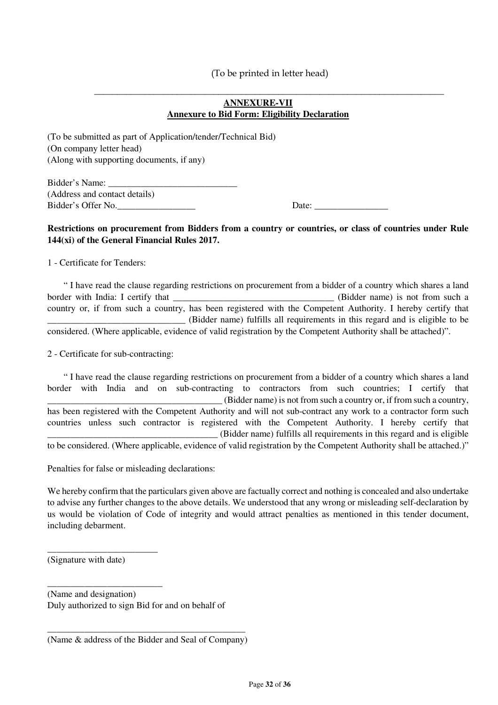### **ANNEXURE-VII Annexure to Bid Form: Eligibility Declaration**

 $\overline{\phantom{a}}$  ,  $\overline{\phantom{a}}$  ,  $\overline{\phantom{a}}$  ,  $\overline{\phantom{a}}$  ,  $\overline{\phantom{a}}$  ,  $\overline{\phantom{a}}$  ,  $\overline{\phantom{a}}$  ,  $\overline{\phantom{a}}$  ,  $\overline{\phantom{a}}$  ,  $\overline{\phantom{a}}$  ,  $\overline{\phantom{a}}$  ,  $\overline{\phantom{a}}$  ,  $\overline{\phantom{a}}$  ,  $\overline{\phantom{a}}$  ,  $\overline{\phantom{a}}$  ,  $\overline{\phantom{a}}$ 

(To be submitted as part of Application/tender/Technical Bid) (On company letter head) (Along with supporting documents, if any)

Bidder's Name: (Address and contact details) Bidder's Offer No.\_\_\_\_\_\_\_\_\_\_\_\_\_\_\_\_\_ Date: \_\_\_\_\_\_\_\_\_\_\_\_\_\_\_\_

### **Restrictions on procurement from Bidders from a country or countries, or class of countries under Rule 144(xi) of the General Financial Rules 2017.**

1 - Certificate for Tenders:

 " I have read the clause regarding restrictions on procurement from a bidder of a country which shares a land border with India: I certify that \_\_\_\_\_\_\_\_\_\_\_\_\_\_\_\_\_\_\_\_\_\_\_\_\_\_\_\_\_\_\_\_\_\_\_ (Bidder name) is not from such a country or, if from such a country, has been registered with the Competent Authority. I hereby certify that \_\_\_\_\_\_\_\_\_\_\_\_\_\_\_\_\_\_\_\_\_\_\_\_\_\_\_\_\_\_ (Bidder name) fulfills all requirements in this regard and is eligible to be considered. (Where applicable, evidence of valid registration by the Competent Authority shall be attached)".

2 - Certificate for sub-contracting:

 " I have read the clause regarding restrictions on procurement from a bidder of a country which shares a land border with India and on sub-contracting to contractors from such countries; I certify that \_\_\_\_\_\_\_\_\_\_\_\_\_\_\_\_\_\_\_\_\_\_\_\_\_\_\_\_\_\_\_\_\_\_\_\_\_\_ (Bidder name) is not from such a country or, if from such a country, has been registered with the Competent Authority and will not sub-contract any work to a contractor form such countries unless such contractor is registered with the Competent Authority. I hereby certify that \_\_\_\_\_\_\_\_\_\_\_\_\_\_\_\_\_\_\_\_\_\_\_\_\_\_\_\_\_\_\_\_\_\_\_\_\_ (Bidder name) fulfills all requirements in this regard and is eligible to be considered. (Where applicable, evidence of valid registration by the Competent Authority shall be attached.)"

Penalties for false or misleading declarations:

We hereby confirm that the particulars given above are factually correct and nothing is concealed and also undertake to advise any further changes to the above details. We understood that any wrong or misleading self-declaration by us would be violation of Code of integrity and would attract penalties as mentioned in this tender document, including debarment.

(Signature with date)

\_\_\_\_\_\_\_\_\_\_\_\_\_\_\_\_\_\_\_\_\_\_\_\_

\_\_\_\_\_\_\_\_\_\_\_\_\_\_\_\_\_\_\_\_\_\_\_\_\_

(Name and designation) Duly authorized to sign Bid for and on behalf of

\_\_\_\_\_\_\_\_\_\_\_\_\_\_\_\_\_\_\_\_\_\_\_\_\_\_\_\_\_\_\_\_\_\_\_\_\_\_\_\_\_\_\_ (Name & address of the Bidder and Seal of Company)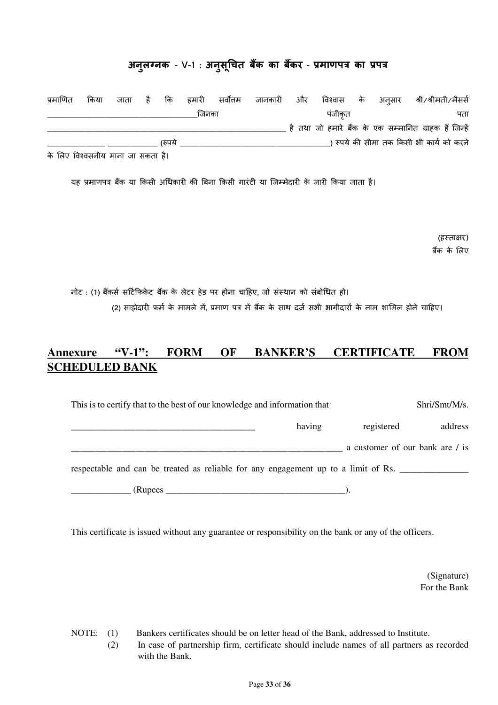# **अनुल>नक - V-**1 : **अनुसू;चत बEक का बEकर - ?माणप' का ?प'**

| प्रमाणित                    | किया | जाता है कि |        | हमारी | सर्वोत्तम | जानकारी और |        |  | विश्वास के अन्πसार श्री ⁄श्रीमती ⁄मैसर्स               |
|-----------------------------|------|------------|--------|-------|-----------|------------|--------|--|--------------------------------------------------------|
|                             |      |            |        | जिनका |           |            | पंजीकत |  | पता                                                    |
|                             |      |            |        |       |           |            |        |  | है तथा जो हमारे बैंक के एक सम्मानित ग्राहक हैं जिन्हें |
|                             |      |            | (रुपये |       |           |            |        |  | कपये की सीमा तक किसी भी कार्य को करने (                |
| $\sim$ $\sim$ $\sim$ $\sim$ |      |            |        |       |           |            |        |  |                                                        |

के लिए विश्वसनीय माना जा सकता है।

यह प्रमाणपत्र बैंक या किसी अधिकारी की बिना किसी गारंटी या जिम्मेदारी के जारी किया जाता है।

(हस्ताक्षर) बैंक के लिए

नोट : (**1)** बRकस सTट3फके ट बRक के लेटर हेड पर होना चाTहए**,** जो सं"थान को संबोधत हो। (2) साझेदारी फर्म के मामले में, प्रमाण पत्र में बैंक के साथ दर्ज सभी भागीदारों के नाम शामिल होने चाहिए।

# **Annexure "V-1": FORM OF BANKER'S CERTIFICATE FROM SCHEDULED BANK**

| This is to certify that to the best of our knowledge and information that          | Shri/Smt/M/s. |            |                                 |
|------------------------------------------------------------------------------------|---------------|------------|---------------------------------|
|                                                                                    | having        | registered | address                         |
|                                                                                    |               |            | a customer of our bank are / is |
| respectable and can be treated as reliable for any engagement up to a limit of Rs. |               |            |                                 |
| (Rupees _                                                                          |               |            |                                 |

This certificate is issued without any guarantee or responsibility on the bank or any of the officers.

 (Signature) For the Bank

NOTE: (1) Bankers certificates should be on letter head of the Bank, addressed to Institute.

(2) In case of partnership firm, certificate should include names of all partners as recorded with the Bank.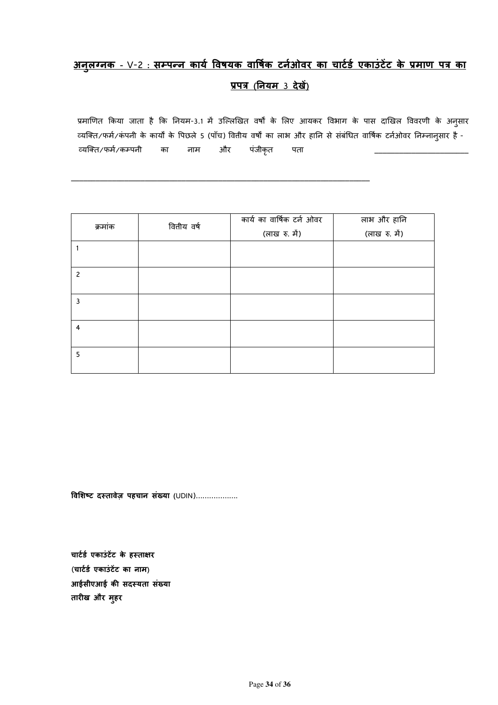# <u>अनुलग्नक - V-2 : सम्पन्न कार्य विषयक वार्षिक टर्नओवर का चार्टर्ड एकाउंटेट के प्रमाण पत्र का</u> **?प' (नयम** 3 **देख3)**

प्रमाणित किया जाता है कि नियम-3.1 में उल्लिखित वर्षों के लिए आयकर विभाग के पास दाखिल विवरणी के अनुसार व्यक्ति/फर्म/कंपनी के कार्यों के पिछले 5 (पाँच) वितीय वर्षों का लाभ और हानि से संबंधित वार्षिक टर्नओवर निम्नानुसार है -व्यक्ति/फर्म/कम्पनी का नाम और पंजीकृत पता

| क्रमांक        | वितीय वर्ष | कार्य का वार्षिक टर्न ओवर | लाभ और हानि   |  |  |
|----------------|------------|---------------------------|---------------|--|--|
|                |            | (लाख रु. में)             | (लाख रु. में) |  |  |
|                |            |                           |               |  |  |
|                |            |                           |               |  |  |
| $\overline{c}$ |            |                           |               |  |  |
|                |            |                           |               |  |  |
| 3              |            |                           |               |  |  |
|                |            |                           |               |  |  |
| 4              |            |                           |               |  |  |
|                |            |                           |               |  |  |
| 5              |            |                           |               |  |  |
|                |            |                           |               |  |  |

\_\_\_\_\_\_\_\_\_\_\_\_\_\_\_\_\_\_\_\_\_\_\_\_\_\_\_\_\_\_\_\_\_\_\_\_\_\_\_\_\_\_\_\_\_\_\_\_\_\_\_\_\_\_\_\_\_\_\_\_\_\_\_\_\_\_\_\_\_\_\_\_\_

**विशिष्ट दस्तावेज़ पहचान संख्या** (UDIN)……………….

चार्टर्ड एकाउंटेंट के हस्ताक्षर (**चाट)ड) एकाउं ट3ट का नाम)** आईसीएआई की सदस्यता संख्या **तारीख और मुहर**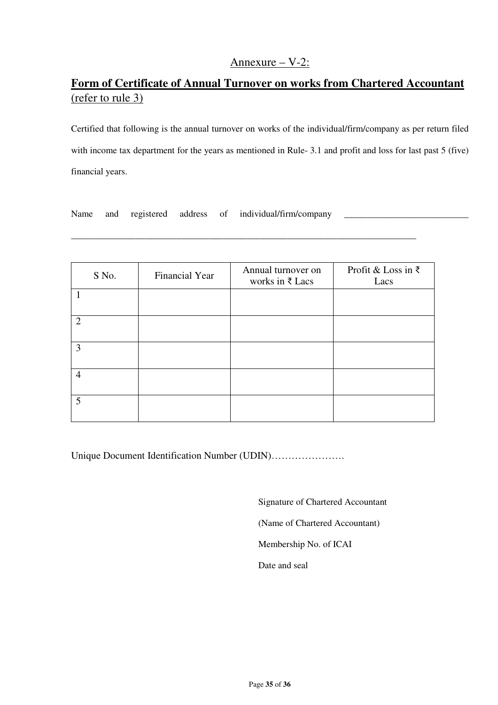## Annexure – V-2:

# **Form of Certificate of Annual Turnover on works from Chartered Accountant** (refer to rule 3)

Certified that following is the annual turnover on works of the individual/firm/company as per return filed with income tax department for the years as mentioned in Rule- 3.1 and profit and loss for last past 5 (five) financial years.

Name and registered address of individual/firm/company

| S No.          | Financial Year | Annual turnover on<br>works in $\xi$ Lacs | Profit & Loss in ₹<br>Lacs |
|----------------|----------------|-------------------------------------------|----------------------------|
|                |                |                                           |                            |
| $\overline{2}$ |                |                                           |                            |
| 3              |                |                                           |                            |
| $\overline{4}$ |                |                                           |                            |
| 5              |                |                                           |                            |

\_\_\_\_\_\_\_\_\_\_\_\_\_\_\_\_\_\_\_\_\_\_\_\_\_\_\_\_\_\_\_\_\_\_\_\_\_\_\_\_\_\_\_\_\_\_\_\_\_\_\_\_\_\_\_\_\_\_\_\_\_\_\_\_\_\_\_\_\_\_\_\_\_\_\_

Unique Document Identification Number (UDIN)………………….

Signature of Chartered Accountant

(Name of Chartered Accountant)

Membership No. of ICAI

Date and seal